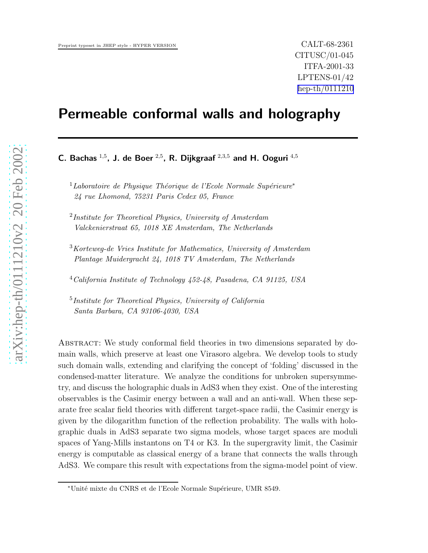# Permeable conformal walls and holography

C. Bachas  $^{1,5}$ , J. de Boer  $^{2,5}$ , R. Dijkgraaf  $^{2,3,5}$  and H. Ooguri  $^{4,5}$ 

 $1$ Laboratoire de Physique Théorique de l'Ecole Normale Supérieure\* 24 rue Lhomond, 75231 Paris Cedex 05, France

 $^{2}$ Institute for Theoretical Physics, University of Amsterdam Valckenierstraat 65, 1018 XE Amsterdam, The Netherlands

 $3K$ orteweg-de Vries Institute for Mathematics, University of Amsterdam Plantage Muidergracht 24, 1018 TV Amsterdam, The Netherlands

<sup>4</sup>California Institute of Technology 452-48, Pasadena, CA 91125, USA

<sup>5</sup>Institute for Theoretical Physics, University of California Santa Barbara, CA 93106-4030, USA

Abstract: We study conformal field theories in two dimensions separated by domain walls, which preserve at least one Virasoro algebra. We develop tools to study such domain walls, extending and clarifying the concept of 'folding' discussed in the condensed-matter literature. We analyze the conditions for unbroken supersymmetry, and discuss the holographic duals in AdS3 when they exist. One of the interesting observables is the Casimir energy between a wall and an anti-wall. When these separate free scalar field theories with different target-space radii, the Casimir energy is given by the dilogarithm function of the reflection probability. The walls with holographic duals in AdS3 separate two sigma models, whose target spaces are moduli spaces of Yang-Mills instantons on T4 or K3. In the supergravity limit, the Casimir energy is computable as classical energy of a brane that connects the walls through AdS3. We compare this result with expectations from the sigma-model point of view.

<sup>∗</sup>Unit´e mixte du CNRS et de l'Ecole Normale Sup´erieure, UMR 8549.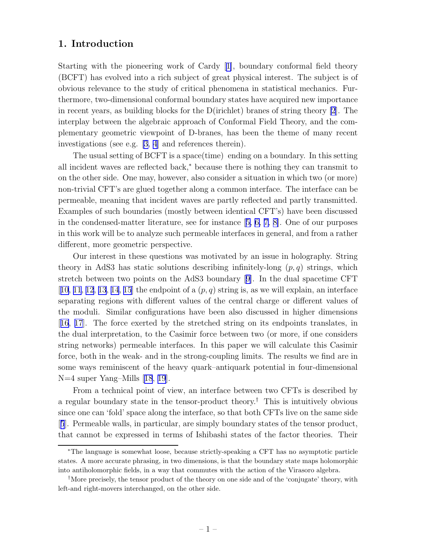# 1. Introduction

Starting with the pioneering work of Cardy[[1\]](#page-32-0), boundary conformal field theory (BCFT) has evolved into a rich subject of great physical interest. The subject is of obvious relevance to the study of critical phenomena in statistical mechanics. Furthermore, two-dimensional conformal boundary states have acquired new importance in recent years, as building blocks for the D(irichlet) branes of string theory [\[2](#page-32-0)]. The interplay between the algebraic approach of Conformal Field Theory, and the complementary geometric viewpoint of D-branes, has been the theme of many recent investigations (see e.g. [\[3, 4](#page-32-0)] and references therein).

The usual setting of BCFT is a space(time) ending on a boundary. In this setting all incident waves are reflected back,<sup>∗</sup> because there is nothing they can transmit to on the other side. One may, however, also consider a situation in which two (or more) non-trivial CFT's are glued together along a common interface. The interface can be permeable, meaning that incident waves are partly reflected and partly transmitted. Examples of such boundaries (mostly between identical CFT's) have been discussed in the condensed-matter literature, see for instance[[5, 6,](#page-32-0) [7, 8\]](#page-32-0). One of our purposes in this work will be to analyze such permeable interfaces in general, and from a rather different, more geometric perspective.

Our interest in these questions was motivated by an issue in holography. String theory in AdS3 has static solutions describing infinitely-long  $(p, q)$  strings, which stretch between two points on the AdS3 boundary [\[9\]](#page-32-0). In the dual spacetime CFT [[10](#page-32-0), [11](#page-33-0), [12](#page-33-0), [13](#page-33-0), [14](#page-33-0), [15](#page-33-0)] the endpoint of a  $(p, q)$  string is, as we will explain, an interface separating regions with different values of the central charge or different values of the moduli. Similar configurations have been also discussed in higher dimensions [[16](#page-33-0), [17](#page-33-0)]. The force exerted by the stretched string on its endpoints translates, in the dual interpretation, to the Casimir force between two (or more, if one considers string networks) permeable interfaces. In this paper we will calculate this Casimir force, both in the weak- and in the strong-coupling limits. The results we find are in some ways reminiscent of the heavy quark–antiquark potential in four-dimensional N=4 super Yang–Mills[[18](#page-33-0), [19](#page-33-0)].

From a technical point of view, an interface between two CFTs is described by a regular boundary state in the tensor-product theory.<sup>†</sup> This is intuitively obvious since one can 'fold' space along the interface, so that both CFTs live on the same side [[5](#page-32-0)]. Permeable walls, in particular, are simply boundary states of the tensor product, that cannot be expressed in terms of Ishibashi states of the factor theories. Their

<sup>∗</sup>The language is somewhat loose, because strictly-speaking a CFT has no asymptotic particle states. A more accurate phrasing, in two dimensions, is that the boundary state maps holomorphic into antiholomorphic fields, in a way that commutes with the action of the Virasoro algebra.

<sup>†</sup>More precisely, the tensor product of the theory on one side and of the 'conjugate' theory, with left-and right-movers interchanged, on the other side.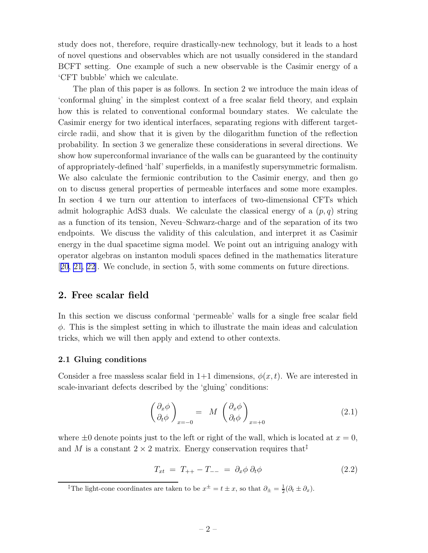<span id="page-2-0"></span>study does not, therefore, require drastically-new technology, but it leads to a host of novel questions and observables which are not usually considered in the standard BCFT setting. One example of such a new observable is the Casimir energy of a 'CFT bubble' which we calculate.

The plan of this paper is as follows. In section 2 we introduce the main ideas of 'conformal gluing' in the simplest context of a free scalar field theory, and explain how this is related to conventional conformal boundary states. We calculate the Casimir energy for two identical interfaces, separating regions with different targetcircle radii, and show that it is given by the dilogarithm function of the reflection probability. In section 3 we generalize these considerations in several directions. We show how superconformal invariance of the walls can be guaranteed by the continuity of appropriately-defined 'half' superfields, in a manifestly supersymmetric formalism. We also calculate the fermionic contribution to the Casimir energy, and then go on to discuss general properties of permeable interfaces and some more examples. In section 4 we turn our attention to interfaces of two-dimensional CFTs which admit holographic AdS3 duals. We calculate the classical energy of a  $(p, q)$  string as a function of its tension, Neveu–Schwarz-charge and of the separation of its two endpoints. We discuss the validity of this calculation, and interpret it as Casimir energy in the dual spacetime sigma model. We point out an intriguing analogy with operator algebras on instanton moduli spaces defined in the mathematics literature [[20](#page-33-0), [21](#page-33-0), [22\]](#page-33-0). We conclude, in section 5, with some comments on future directions.

# 2. Free scalar field

In this section we discuss conformal 'permeable' walls for a single free scalar field  $\phi$ . This is the simplest setting in which to illustrate the main ideas and calculation tricks, which we will then apply and extend to other contexts.

## 2.1 Gluing conditions

Consider a free massless scalar field in  $1+1$  dimensions,  $\phi(x, t)$ . We are interested in scale-invariant defects described by the 'gluing' conditions:

$$
\left(\begin{array}{c}\n\partial_x \phi \\
\partial_t \phi\n\end{array}\right)_{x=-0} = M \left(\begin{array}{c}\n\partial_x \phi \\
\partial_t \phi\n\end{array}\right)_{x=+0}
$$
\n(2.1)

where  $\pm 0$  denote points just to the left or right of the wall, which is located at  $x = 0$ , and M is a constant  $2 \times 2$  matrix. Energy conservation requires that<sup> $\ddagger$ </sup>

$$
T_{xt} = T_{++} - T_{--} = \partial_x \phi \, \partial_t \phi \tag{2.2}
$$

<sup>‡</sup>The light-cone coordinates are taken to be  $x^{\pm} = t \pm x$ , so that  $\partial_{\pm} = \frac{1}{2}(\partial_t \pm \partial_x)$ .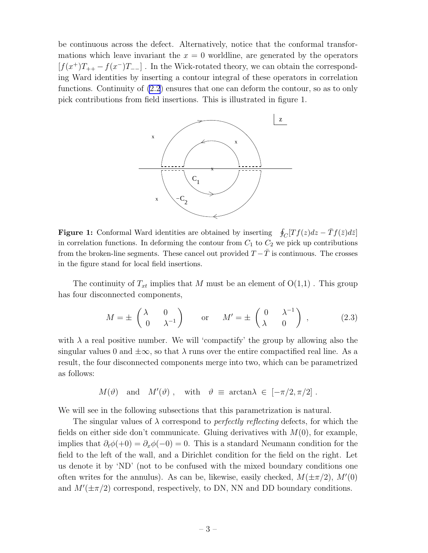be continuous across the defect. Alternatively, notice that the conformal transformations which leave invariant the  $x = 0$  worldline, are generated by the operators  $[f(x^+)T_{++} - f(x^-)T_{--}]$ . In the Wick-rotated theory, we can obtain the corresponding Ward identities by inserting a contour integral of these operators in correlation functions. Continuity of [\(2.2](#page-2-0)) ensures that one can deform the contour, so as to only pick contributions from field insertions. This is illustrated in figure 1.



**Figure 1:** Conformal Ward identities are obtained by inserting  $\oint_C [Tf(z)dz - \bar{T}f(\bar{z})d\bar{z}]$ in correlation functions. In deforming the contour from  $C_1$  to  $C_2$  we pick up contributions from the broken-line segments. These cancel out provided  $T - \bar{T}$  is continuous. The crosses in the figure stand for local field insertions.

The continuity of  $T_{xt}$  implies that M must be an element of  $O(1,1)$ . This group has four disconnected components,

$$
M = \pm \begin{pmatrix} \lambda & 0 \\ 0 & \lambda^{-1} \end{pmatrix} \quad \text{or} \quad M' = \pm \begin{pmatrix} 0 & \lambda^{-1} \\ \lambda & 0 \end{pmatrix}, \quad (2.3)
$$

with  $\lambda$  a real positive number. We will 'compactify' the group by allowing also the singular values 0 and  $\pm \infty$ , so that  $\lambda$  runs over the entire compactified real line. As a result, the four disconnected components merge into two, which can be parametrized as follows:

$$
M(\theta)
$$
 and  $M'(\theta)$ , with  $\theta \equiv \arctan \lambda \in [-\pi/2, \pi/2]$ .

We will see in the following subsections that this parametrization is natural.

The singular values of  $\lambda$  correspond to *perfectly reflecting* defects, for which the fields on either side don't communicate. Gluing derivatives with  $M(0)$ , for example, implies that  $\partial_t \phi(+0) = \partial_x \phi(-0) = 0$ . This is a standard Neumann condition for the field to the left of the wall, and a Dirichlet condition for the field on the right. Let us denote it by 'ND' (not to be confused with the mixed boundary conditions one often writes for the annulus). As can be, likewise, easily checked,  $M(\pm \pi/2)$ ,  $M'(0)$ and  $M'(\pm \pi/2)$  correspond, respectively, to DN, NN and DD boundary conditions.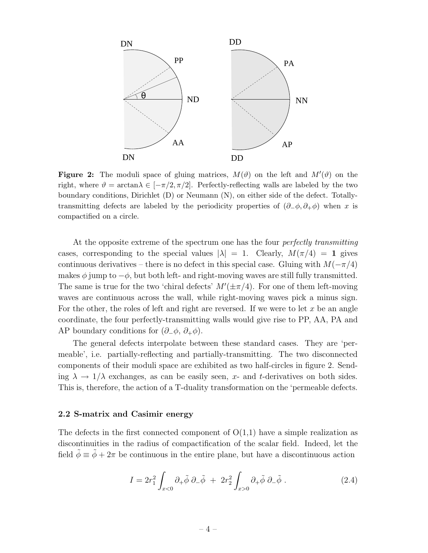

**Figure 2:** The moduli space of gluing matrices,  $M(\vartheta)$  on the left and  $M'(\vartheta)$  on the right, where  $\vartheta = \arctan \lambda \in [-\pi/2, \pi/2]$ . Perfectly-reflecting walls are labeled by the two boundary conditions, Dirichlet (D) or Neumann (N), on either side of the defect. Totallytransmitting defects are labeled by the periodicity properties of  $(\partial_-\phi, \partial_+\phi)$  when x is compactified on a circle.

At the opposite extreme of the spectrum one has the four *perfectly transmitting* cases, corresponding to the special values  $|\lambda| = 1$ . Clearly,  $M(\pi/4) = 1$  gives continuous derivatives – there is no defect in this special case. Gluing with  $M(-\pi/4)$ makes  $\phi$  jump to  $-\phi$ , but both left- and right-moving waves are still fully transmitted. The same is true for the two 'chiral defects'  $M'(\pm \pi/4)$ . For one of them left-moving waves are continuous across the wall, while right-moving waves pick a minus sign. For the other, the roles of left and right are reversed. If we were to let x be an angle coordinate, the four perfectly-transmitting walls would give rise to PP, AA, PA and AP boundary conditions for  $(\partial_-\phi, \partial_+\phi)$ .

The general defects interpolate between these standard cases. They are 'permeable', i.e. partially-reflecting and partially-transmitting. The two disconnected components of their moduli space are exhibited as two half-circles in figure 2. Sending  $\lambda \to 1/\lambda$  exchanges, as can be easily seen, x- and t-derivatives on both sides. This is, therefore, the action of a T-duality transformation on the 'permeable defects.

### 2.2 S-matrix and Casimir energy

The defects in the first connected component of  $O(1,1)$  have a simple realization as discontinuities in the radius of compactification of the scalar field. Indeed, let the field  $\tilde{\phi} \equiv \tilde{\phi} + 2\pi$  be continuous in the entire plane, but have a discontinuous action

$$
I = 2r_1^2 \int_{x<0} \partial_+ \tilde{\phi} \, \partial_- \tilde{\phi} + 2r_2^2 \int_{x>0} \partial_+ \tilde{\phi} \, \partial_- \tilde{\phi} . \tag{2.4}
$$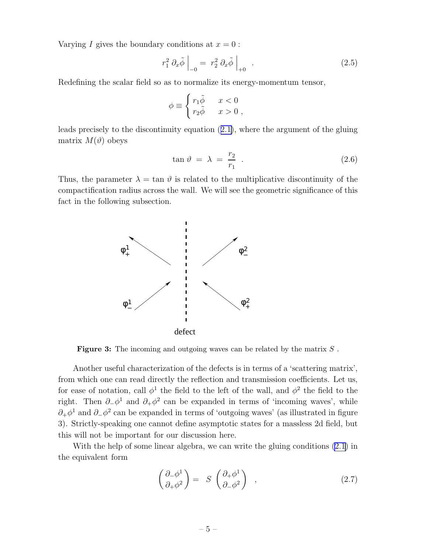<span id="page-5-0"></span>Varying I gives the boundary conditions at  $x = 0$ :

$$
r_1^2 \partial_x \tilde{\phi} \Big|_{-0} = r_2^2 \partial_x \tilde{\phi} \Big|_{+0} . \tag{2.5}
$$

Redefining the scalar field so as to normalize its energy-momentum tensor,

$$
\phi \equiv \begin{cases} r_1 \tilde{\phi} & x < 0 \\ r_2 \tilde{\phi} & x > 0 \end{cases}
$$

leads precisely to the discontinuity equation([2.1\)](#page-2-0), where the argument of the gluing matrix  $M(\vartheta)$  obeys

$$
\tan \vartheta = \lambda = \frac{r_2}{r_1} \tag{2.6}
$$

Thus, the parameter  $\lambda = \tan \theta$  is related to the multiplicative discontinuity of the compactification radius across the wall. We will see the geometric significance of this fact in the following subsection.



**Figure 3:** The incoming and outgoing waves can be related by the matrix  $S$ .

Another useful characterization of the defects is in terms of a 'scattering matrix', from which one can read directly the reflection and transmission coefficients. Let us, for ease of notation, call  $\phi^1$  the field to the left of the wall, and  $\phi^2$  the field to the right. Then  $\partial_-\phi^1$  and  $\partial_+\phi^2$  can be expanded in terms of 'incoming waves', while  $\partial_+\phi^1$  and  $\partial_-\phi^2$  can be expanded in terms of 'outgoing waves' (as illustrated in figure 3). Strictly-speaking one cannot define asymptotic states for a massless 2d field, but this will not be important for our discussion here.

With the help of some linear algebra, we can write the gluing conditions [\(2.1](#page-2-0)) in the equivalent form

$$
\begin{pmatrix} \partial_- \phi^1 \\ \partial_+ \phi^2 \end{pmatrix} = S \begin{pmatrix} \partial_+ \phi^1 \\ \partial_- \phi^2 \end{pmatrix} , \qquad (2.7)
$$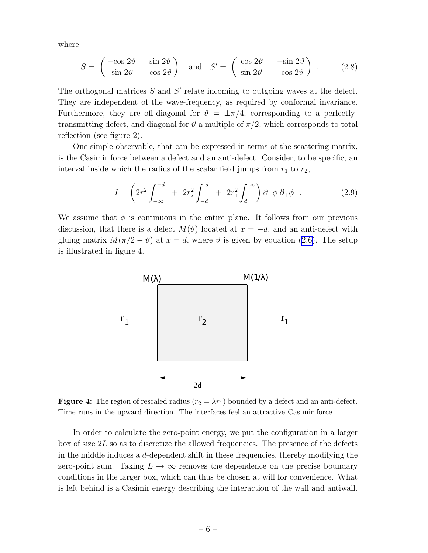<span id="page-6-0"></span>where

$$
S = \begin{pmatrix} -\cos 2\vartheta & \sin 2\vartheta \\ \sin 2\vartheta & \cos 2\vartheta \end{pmatrix} \text{ and } S' = \begin{pmatrix} \cos 2\vartheta & -\sin 2\vartheta \\ \sin 2\vartheta & \cos 2\vartheta \end{pmatrix}. \quad (2.8)
$$

The orthogonal matrices  $S$  and  $S'$  relate incoming to outgoing waves at the defect. They are independent of the wave-frequency, as required by conformal invariance. Furthermore, they are off-diagonal for  $\vartheta = \pm \pi/4$ , corresponding to a perfectlytransmitting defect, and diagonal for  $\vartheta$  a multiple of  $\pi/2$ , which corresponds to total reflection (see figure 2).

One simple observable, that can be expressed in terms of the scattering matrix, is the Casimir force between a defect and an anti-defect. Consider, to be specific, an interval inside which the radius of the scalar field jumps from  $r_1$  to  $r_2$ ,

$$
I = \left(2r_1^2 \int_{-\infty}^{-d} + 2r_2^2 \int_{-d}^{d} + 2r_1^2 \int_{d}^{\infty}\right) \partial_{-}\tilde{\phi} \partial_{+}\tilde{\phi} . \qquad (2.9)
$$

We assume that  $\tilde{\phi}$  is continuous in the entire plane. It follows from our previous discussion, that there is a defect  $M(\vartheta)$  located at  $x = -d$ , and an anti-defect with gluingmatrix  $M(\pi/2 - \vartheta)$  at  $x = d$ , where  $\vartheta$  is given by equation ([2.6\)](#page-5-0). The setup is illustrated in figure 4.



**Figure 4:** The region of rescaled radius  $(r_2 = \lambda r_1)$  bounded by a defect and an anti-defect. Time runs in the upward direction. The interfaces feel an attractive Casimir force.

In order to calculate the zero-point energy, we put the configuration in a larger box of size  $2L$  so as to discretize the allowed frequencies. The presence of the defects in the middle induces a d-dependent shift in these frequencies, thereby modifying the zero-point sum. Taking  $L \to \infty$  removes the dependence on the precise boundary conditions in the larger box, which can thus be chosen at will for convenience. What is left behind is a Casimir energy describing the interaction of the wall and antiwall.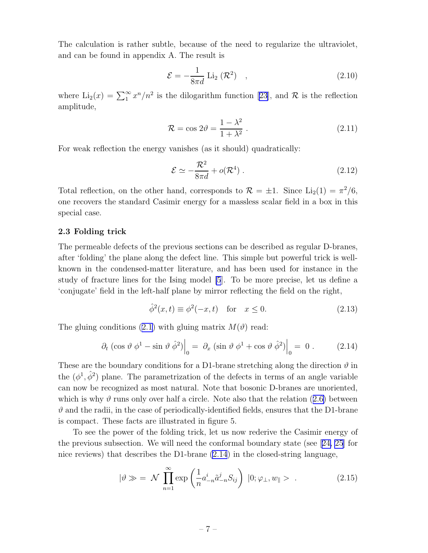<span id="page-7-0"></span>The calculation is rather subtle, because of the need to regularize the ultraviolet, and can be found in appendix A. The result is

$$
\mathcal{E} = -\frac{1}{8\pi d} \operatorname{Li}_2(\mathcal{R}^2) \quad , \tag{2.10}
$$

where  $\text{Li}_2(x) = \sum_{1}^{\infty} x^n/n^2$  is the dilogarithm function [\[23\]](#page-33-0), and R is the reflection amplitude,

$$
\mathcal{R} = \cos 2\theta = \frac{1 - \lambda^2}{1 + \lambda^2} \,. \tag{2.11}
$$

For weak reflection the energy vanishes (as it should) quadratically:

$$
\mathcal{E} \simeq -\frac{\mathcal{R}^2}{8\pi d} + o(\mathcal{R}^4) \ . \tag{2.12}
$$

Total reflection, on the other hand, corresponds to  $\mathcal{R} = \pm 1$ . Since  $\text{Li}_2(1) = \pi^2/6$ , one recovers the standard Casimir energy for a massless scalar field in a box in this special case.

## 2.3 Folding trick

The permeable defects of the previous sections can be described as regular D-branes, after 'folding' the plane along the defect line. This simple but powerful trick is wellknown in the condensed-matter literature, and has been used for instance in the study of fracture lines for the Ising model [\[5](#page-32-0)]. To be more precise, let us define a 'conjugate' field in the left-half plane by mirror reflecting the field on the right,

$$
\hat{\phi}^2(x,t) \equiv \phi^2(-x,t) \quad \text{for} \quad x \le 0. \tag{2.13}
$$

The gluing conditions [\(2.1](#page-2-0)) with gluing matrix  $M(\vartheta)$  read:

$$
\partial_t \left( \cos \vartheta \, \phi^1 - \sin \vartheta \, \hat{\phi}^2 \right) \Big|_0 = \left. \partial_x \left( \sin \vartheta \, \phi^1 + \cos \vartheta \, \hat{\phi}^2 \right) \right|_0 = 0 \,. \tag{2.14}
$$

These are the boundary conditions for a D1-brane stretching along the direction  $\vartheta$  in the  $(\phi^1, \hat{\phi}^2)$  plane. The parametrization of the defects in terms of an angle variable can now be recognized as most natural. Note that bosonic D-branes are unoriented, whichis why  $\vartheta$  runs only over half a circle. Note also that the relation ([2.6\)](#page-5-0) between  $\vartheta$  and the radii, in the case of periodically-identified fields, ensures that the D1-brane is compact. These facts are illustrated in figure 5.

To see the power of the folding trick, let us now rederive the Casimir energy of the previous subsection. We will need the conformal boundary state (see[[24, 25](#page-33-0)] for nice reviews) that describes the D1-brane (2.14) in the closed-string language,

$$
|\vartheta \gg \; = \; \mathcal{N} \; \prod_{n=1}^{\infty} \exp\left(\frac{1}{n} a_{-n}^{i} \tilde{a}_{-n}^{j} S_{ij}\right) \; |0; \varphi_{\perp}, w_{\parallel} > \; . \tag{2.15}
$$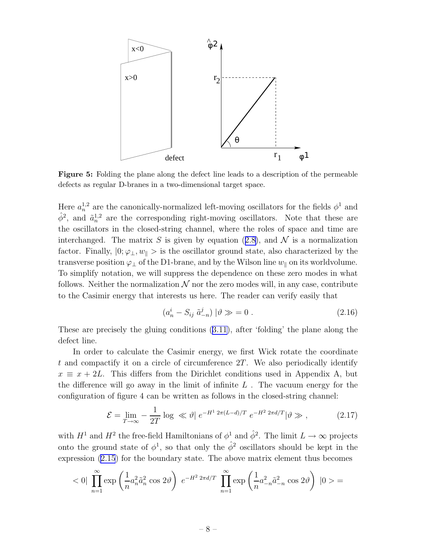<span id="page-8-0"></span>

Figure 5: Folding the plane along the defect line leads to a description of the permeable defects as regular D-branes in a two-dimensional target space.

Here  $a_n^{1,2}$  are the canonically-normalized left-moving oscillators for the fields  $\phi^1$  and  $\hat{\phi}^2$ , and  $\tilde{a}_n^{1,2}$  are the corresponding right-moving oscillators. Note that these are the oscillators in the closed-string channel, where the roles of space and time are interchanged.The matrix S is given by equation ([2.8\)](#page-6-0), and  $\mathcal N$  is a normalization factor. Finally,  $|0; \varphi_{\perp}, w_{\parallel} \rangle$  is the oscillator ground state, also characterized by the transverse position  $\varphi_1$  of the D1-brane, and by the Wilson line  $w_{\parallel}$  on its worldvolume. To simplify notation, we will suppress the dependence on these zero modes in what follows. Neither the normalization  $\mathcal N$  nor the zero modes will, in any case, contribute to the Casimir energy that interests us here. The reader can verify easily that

$$
(a_n^i - S_{ij} \tilde{a}_{-n}^j) | \vartheta \gg 0.
$$
 (2.16)

These are precisely the gluing conditions([3.11\)](#page-5-0), after 'folding' the plane along the defect line.

In order to calculate the Casimir energy, we first Wick rotate the coordinate t and compactify it on a circle of circumference  $2T$ . We also periodically identify  $x \equiv x + 2L$ . This differs from the Dirichlet conditions used in Appendix A, but the difference will go away in the limit of infinite  $L$ . The vacuum energy for the configuration of figure 4 can be written as follows in the closed-string channel:

$$
\mathcal{E} = \lim_{T \to \infty} -\frac{1}{2T} \log \ll \vartheta \, \, e^{-H^1 \, 2\pi (L - d)/T} \, \, e^{-H^2 \, 2\pi d/T} \, \, |\vartheta \gg , \tag{2.17}
$$

with  $H^1$  and  $H^2$  the free-field Hamiltonians of  $\phi^1$  and  $\hat{\phi}^2$ . The limit  $L \to \infty$  projects onto the ground state of  $\phi^1$ , so that only the  $\hat{\phi}^2$  oscillators should be kept in the expression [\(2.15](#page-7-0)) for the boundary state. The above matrix element thus becomes

$$
<0|\prod_{n=1}^{\infty}\exp\left(\frac{1}{n}a_n^2\tilde{a}_n^2\cos 2\vartheta\right)e^{-H^2 2\pi d/T}\prod_{n=1}^{\infty}\exp\left(\frac{1}{n}a_{-n}^2\tilde{a}_{-n}^2\cos 2\vartheta\right)|0>=
$$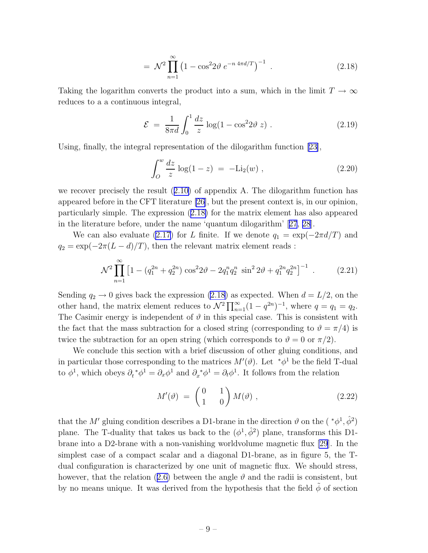$$
= \mathcal{N}^2 \prod_{n=1}^{\infty} \left( 1 - \cos^2 2\vartheta \ e^{-n \ 4\pi d/T} \right)^{-1} \ . \tag{2.18}
$$

Taking the logarithm converts the product into a sum, which in the limit  $T \to \infty$ reduces to a a continuous integral,

$$
\mathcal{E} = \frac{1}{8\pi d} \int_0^1 \frac{dz}{z} \log(1 - \cos^2 2\vartheta z) \,. \tag{2.19}
$$

Using, finally, the integral representation of the dilogarithm function [\[23\]](#page-33-0),

$$
\int_{O}^{w} \frac{dz}{z} \log(1 - z) = -\text{Li}_2(w) , \qquad (2.20)
$$

werecover precisely the result  $(2.10)$  $(2.10)$  of appendix A. The dilogarithm function has appeared before in the CFT literature [\[26\]](#page-33-0), but the present context is, in our opinion, particularly simple. The expression (2.18) for the matrix element has also appeared in the literature before, under the name 'quantum dilogarithm'[[27](#page-33-0), [28](#page-34-0)].

We can also evaluate [\(2.17\)](#page-8-0) for L finite. If we denote  $q_1 = \exp(-2\pi d/T)$  and  $q_2 = \exp(-2\pi(L - d)/T)$ , then the relevant matrix element reads :

$$
\mathcal{N}^2 \prod_{n=1}^{\infty} \left[ 1 - \left( q_1^{2n} + q_2^{2n} \right) \cos^2 2\vartheta - 2q_1^n q_2^n \sin^2 2\vartheta + q_1^{2n} q_2^{2n} \right]^{-1} \,. \tag{2.21}
$$

Sending  $q_2 \to 0$  gives back the expression (2.18) as expected. When  $d = L/2$ , on the other hand, the matrix element reduces to  $\mathcal{N}^2 \prod_{n=1}^{\infty} (1 - q^{2n})^{-1}$ , where  $q = q_1 = q_2$ . The Casimir energy is independent of  $\vartheta$  in this special case. This is consistent with the fact that the mass subtraction for a closed string (corresponding to  $\vartheta = \pi/4$ ) is twice the subtraction for an open string (which corresponds to  $\vartheta = 0$  or  $\pi/2$ ).

We conclude this section with a brief discussion of other gluing conditions, and in particular those corresponding to the matrices  $M'(\vartheta)$ . Let  $\pi^*\phi^1$  be the field T-dual to  $\phi^1$ , which obeys  $\partial_t^* \phi^1 = \partial_x \phi^1$  and  $\partial_x^* \phi^1 = \partial_t \phi^1$ . It follows from the relation

$$
M'(\vartheta) = \begin{pmatrix} 0 & 1 \\ 1 & 0 \end{pmatrix} M(\vartheta) , \qquad (2.22)
$$

that the M' gluing condition describes a D1-brane in the direction  $\vartheta$  on the  $(*\phi^1, \hat{\phi}^2)$ plane. The T-duality that takes us back to the  $(\phi^1, \hat{\phi}^2)$  plane, transforms this D1brane into a D2-brane with a non-vanishing worldvolume magnetic flux [\[29](#page-34-0)]. In the simplest case of a compact scalar and a diagonal D1-brane, as in figure 5, the Tdual configuration is characterized by one unit of magnetic flux. We should stress, however,that the relation ([2.6\)](#page-5-0) between the angle  $\vartheta$  and the radii is consistent, but by no means unique. It was derived from the hypothesis that the field  $\tilde{\phi}$  of section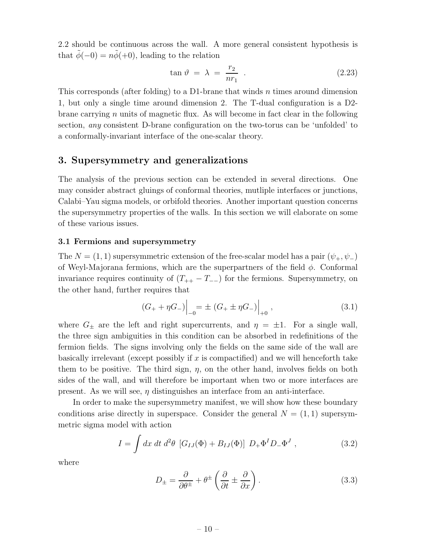<span id="page-10-0"></span>2.2 should be continuous across the wall. A more general consistent hypothesis is that  $\phi(-0) = n\dot{\phi}(+0)$ , leading to the relation

$$
\tan \vartheta = \lambda = \frac{r_2}{nr_1} \tag{2.23}
$$

This corresponds (after folding) to a D1-brane that winds n times around dimension 1, but only a single time around dimension 2. The T-dual configuration is a D2 brane carrying n units of magnetic flux. As will become in fact clear in the following section, any consistent D-brane configuration on the two-torus can be 'unfolded' to a conformally-invariant interface of the one-scalar theory.

# 3. Supersymmetry and generalizations

The analysis of the previous section can be extended in several directions. One may consider abstract gluings of conformal theories, mutliple interfaces or junctions, Calabi–Yau sigma models, or orbifold theories. Another important question concerns the supersymmetry properties of the walls. In this section we will elaborate on some of these various issues.

# 3.1 Fermions and supersymmetry

The  $N = (1, 1)$  supersymmetric extension of the free-scalar model has a pair  $(\psi_+, \psi_-)$ of Weyl-Majorana fermions, which are the superpartners of the field  $\phi$ . Conformal invariance requires continuity of  $(T_{++} - T_{--})$  for the fermions. Supersymmetry, on the other hand, further requires that

$$
(G_{+} + \eta G_{-})\Big|_{-0} = \pm (G_{+} \pm \eta G_{-})\Big|_{+0}, \qquad (3.1)
$$

where  $G_{\pm}$  are the left and right supercurrents, and  $\eta = \pm 1$ . For a single wall, the three sign ambiguities in this condition can be absorbed in redefinitions of the fermion fields. The signs involving only the fields on the same side of the wall are basically irrelevant (except possibly if  $x$  is compactified) and we will henceforth take them to be positive. The third sign,  $\eta$ , on the other hand, involves fields on both sides of the wall, and will therefore be important when two or more interfaces are present. As we will see,  $\eta$  distinguishes an interface from an anti-interface.

In order to make the supersymmetry manifest, we will show how these boundary conditions arise directly in superspace. Consider the general  $N = (1, 1)$  supersymmetric sigma model with action

$$
I = \int dx \, dt \, d^2\theta \, [G_{IJ}(\Phi) + B_{IJ}(\Phi)] \, D_+\Phi^I D_-\Phi^J \,, \tag{3.2}
$$

where

$$
D_{\pm} = \frac{\partial}{\partial \theta^{\pm}} + \theta^{\pm} \left( \frac{\partial}{\partial t} \pm \frac{\partial}{\partial x} \right). \tag{3.3}
$$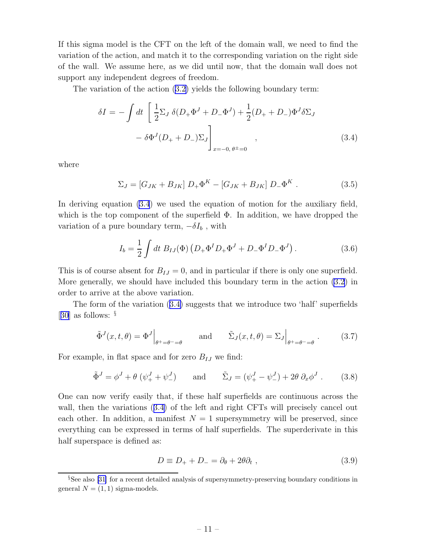<span id="page-11-0"></span>If this sigma model is the CFT on the left of the domain wall, we need to find the variation of the action, and match it to the corresponding variation on the right side of the wall. We assume here, as we did until now, that the domain wall does not support any independent degrees of freedom.

The variation of the action([3.2\)](#page-10-0) yields the following boundary term:

$$
\delta I = -\int dt \left[ \frac{1}{2} \Sigma_J \, \delta (D_+ \Phi^J + D_- \Phi^J) + \frac{1}{2} (D_+ + D_-) \Phi^J \delta \Sigma_J \right. \\ - \delta \Phi^J (D_+ + D_-) \Sigma_J \right]_{x = -0, \, \theta = 0} , \tag{3.4}
$$

where

$$
\Sigma_J = [G_{JK} + B_{JK}] D_+ \Phi^K - [G_{JK} + B_{JK}] D_- \Phi^K .
$$
 (3.5)

In deriving equation (3.4) we used the equation of motion for the auxiliary field, which is the top component of the superfield  $\Phi$ . In addition, we have dropped the variation of a pure boundary term,  $-\delta I_b$ , with

$$
I_b = \frac{1}{2} \int dt \ B_{IJ}(\Phi) \left( D_+ \Phi^I D_+ \Phi^J + D_- \Phi^I D_- \Phi^J \right). \tag{3.6}
$$

This is of course absent for  $B_{IJ} = 0$ , and in particular if there is only one superfield. More generally, we should have included this boundary term in the action [\(3.2](#page-10-0)) in order to arrive at the above variation.

The form of the variation (3.4) suggests that we introduce two 'half' superfields [[30](#page-34-0)] as follows: §

$$
\tilde{\Phi}^{J}(x,t,\theta) = \Phi^{J} \Big|_{\theta^{+}=\theta^{-}=\theta} \quad \text{and} \quad \tilde{\Sigma}_{J}(x,t,\theta) = \Sigma_{J} \Big|_{\theta^{+}=\theta^{-}=\theta} . \quad (3.7)
$$

For example, in flat space and for zero  $B_{IJ}$  we find:

$$
\tilde{\Phi}^J = \phi^J + \theta \left( \psi_+^J + \psi_-^J \right) \quad \text{and} \quad \tilde{\Sigma}_J = (\psi_+^J - \psi_-^J) + 2\theta \partial_x \phi^J \,. \tag{3.8}
$$

One can now verify easily that, if these half superfields are continuous across the wall, then the variations (3.4) of the left and right CFTs will precisely cancel out each other. In addition, a manifest  $N = 1$  supersymmetry will be preserved, since everything can be expressed in terms of half superfields. The superderivate in this half superspace is defined as:

$$
D \equiv D_+ + D_- = \partial_{\theta} + 2\theta \partial_t , \qquad (3.9)
$$

<sup>§</sup>See also [\[31\]](#page-34-0) for a recent detailed analysis of supersymmetry-preserving boundary conditions in general  $N = (1, 1)$  sigma-models.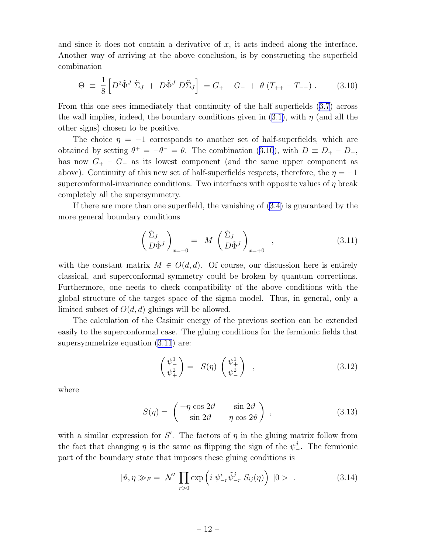and since it does not contain a derivative of  $x$ , it acts indeed along the interface. Another way of arriving at the above conclusion, is by constructing the superfield combination

$$
\Theta \equiv \frac{1}{8} \left[ D^2 \tilde{\Phi}^J \tilde{\Sigma}_J + D \tilde{\Phi}^J D \tilde{\Sigma}_J \right] = G_+ + G_- + \theta (T_{++} - T_{--}) \ . \tag{3.10}
$$

From this one sees immediately that continuity of the half superfields([3.7\)](#page-11-0) across thewall implies, indeed, the boundary conditions given in  $(3.1)$  $(3.1)$ , with  $\eta$  (and all the other signs) chosen to be positive.

The choice  $\eta = -1$  corresponds to another set of half-superfields, which are obtained by setting  $\theta^+ = -\theta^- = \theta$ . The combination (3.10), with  $D \equiv D_+ - D_-,$ has now  $G_{+} - G_{-}$  as its lowest component (and the same upper component as above). Continuity of this new set of half-superfields respects, therefore, the  $\eta = -1$ superconformal-invariance conditions. Two interfaces with opposite values of  $\eta$  break completely all the supersymmetry.

If there are more than one superfield, the vanishing of([3.4\)](#page-11-0) is guaranteed by the more general boundary conditions

$$
\left(\begin{array}{c}\tilde{\Sigma}_J\\D\tilde{\Phi}^J\end{array}\right)_{x=-0} = M\left(\begin{array}{c}\tilde{\Sigma}_J\\D\tilde{\Phi}^J\end{array}\right)_{x=+0},\tag{3.11}
$$

with the constant matrix  $M \in O(d, d)$ . Of course, our discussion here is entirely classical, and superconformal symmetry could be broken by quantum corrections. Furthermore, one needs to check compatibility of the above conditions with the global structure of the target space of the sigma model. Thus, in general, only a limited subset of  $O(d, d)$  gluings will be allowed.

The calculation of the Casimir energy of the previous section can be extended easily to the superconformal case. The gluing conditions for the fermionic fields that supersymmetrizeequation  $(3.11)$  $(3.11)$  $(3.11)$  are:

$$
\begin{pmatrix} \psi_-^1 \\ \psi_+^2 \end{pmatrix} = S(\eta) \begin{pmatrix} \psi_+^1 \\ \psi_-^2 \end{pmatrix} , \qquad (3.12)
$$

where

$$
S(\eta) = \begin{pmatrix} -\eta \cos 2\vartheta & \sin 2\vartheta \\ \sin 2\vartheta & \eta \cos 2\vartheta \end{pmatrix}, \qquad (3.13)
$$

with a similar expression for S'. The factors of  $\eta$  in the gluing matrix follow from the fact that changing  $\eta$  is the same as flipping the sign of the  $\psi^j_-$ . The fermionic part of the boundary state that imposes these gluing conditions is

$$
|\vartheta, \eta \gg_F = \mathcal{N}' \prod_{r>0} \exp\left(i \psi^i_{-r} \tilde{\psi}^j_{-r} S_{ij}(\eta)\right) |0> . \tag{3.14}
$$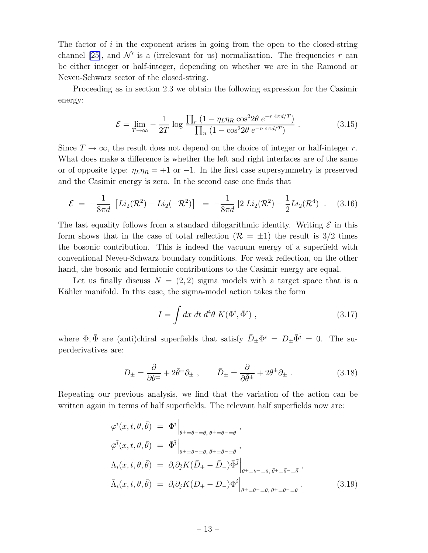<span id="page-13-0"></span>The factor of  $i$  in the exponent arises in going from the open to the closed-string channel [\[25\]](#page-33-0), and  $\mathcal{N}'$  is a (irrelevant for us) normalization. The frequencies r can be either integer or half-integer, depending on whether we are in the Ramond or Neveu-Schwarz sector of the closed-string.

Proceeding as in section 2.3 we obtain the following expression for the Casimir energy:

$$
\mathcal{E} = \lim_{T \to \infty} -\frac{1}{2T} \log \frac{\prod_r (1 - \eta_L \eta_R \cos^2 2\theta \ e^{-r \ 4\pi d/T})}{\prod_n (1 - \cos^2 2\theta \ e^{-n \ 4\pi d/T})} \,. \tag{3.15}
$$

Since  $T \to \infty$ , the result does not depend on the choice of integer or half-integer r. What does make a difference is whether the left and right interfaces are of the same or of opposite type:  $\eta_L \eta_R = +1$  or  $-1$ . In the first case supersymmetry is preserved and the Casimir energy is zero. In the second case one finds that

$$
\mathcal{E} = -\frac{1}{8\pi d} \left[ Li_2(\mathcal{R}^2) - Li_2(-\mathcal{R}^2) \right] = -\frac{1}{8\pi d} \left[ 2 Li_2(\mathcal{R}^2) - \frac{1}{2} Li_2(\mathcal{R}^4) \right]. \tag{3.16}
$$

The last equality follows from a standard dilogarithmic identity. Writing  $\mathcal E$  in this form shows that in the case of total reflection  $(\mathcal{R} = \pm 1)$  the result is 3/2 times the bosonic contribution. This is indeed the vacuum energy of a superfield with conventional Neveu-Schwarz boundary conditions. For weak reflection, on the other hand, the bosonic and fermionic contributions to the Casimir energy are equal.

Let us finally discuss  $N = (2, 2)$  sigma models with a target space that is a Kähler manifold. In this case, the sigma-model action takes the form

$$
I = \int dx dt d^4\theta K(\Phi^i, \bar{\Phi}^{\bar{i}}) , \qquad (3.17)
$$

where  $\Phi$ ,  $\bar{\Phi}$  are (anti)chiral superfields that satisfy  $\bar{D}_{\pm} \Phi^i = D_{\pm} \bar{\Phi}^i = 0$ . The superderivatives are:

$$
D_{\pm} = \frac{\partial}{\partial \theta^{\pm}} + 2\bar{\theta}^{\pm}\partial_{\pm} , \qquad \bar{D}_{\pm} = \frac{\partial}{\partial \bar{\theta}^{\pm}} + 2\theta^{\pm}\partial_{\pm} . \tag{3.18}
$$

Repeating our previous analysis, we find that the variation of the action can be written again in terms of half superfields. The relevant half superfields now are:

$$
\varphi^{i}(x, t, \theta, \bar{\theta}) = \Phi^{i} \Big|_{\theta^{+} = \theta^{-} = \theta, \ \bar{\theta}^{+} = \bar{\theta}^{-} = \bar{\theta}},
$$
  

$$
\overline{\varphi}^{\bar{i}}(x, t, \theta, \bar{\theta}) = \overline{\Phi}^{\bar{i}} \Big|_{\theta^{+} = \theta^{-} = \theta, \ \bar{\theta}^{+} = \bar{\theta}^{-} = \bar{\theta}},
$$
  

$$
\Lambda_{i}(x, t, \theta, \bar{\theta}) = \partial_{i} \partial_{\bar{j}} K(\bar{D}_{+} - \bar{D}_{-}) \overline{\Phi}^{\bar{j}} \Big|_{\theta^{+} = \theta^{-} = \theta, \ \bar{\theta}^{+} = \bar{\theta}^{-} = \bar{\theta}},
$$
  

$$
\overline{\Lambda}_{\bar{i}}(x, t, \theta, \bar{\theta}) = \partial_{i} \partial_{\bar{j}} K(D_{+} - D_{-}) \Phi^{i} \Big|_{\theta^{+} = \theta^{-} = \theta, \ \bar{\theta}^{+} = \bar{\theta}^{-} = \bar{\theta}}.
$$
(3.19)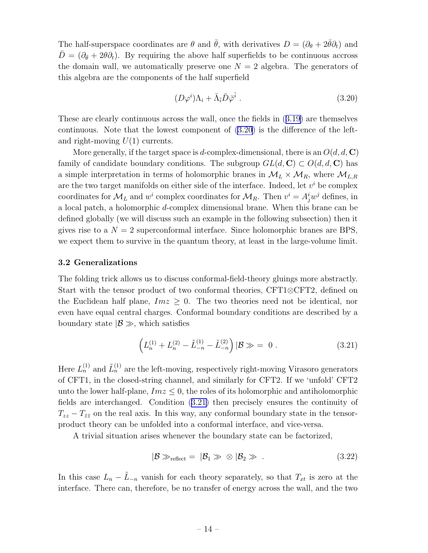<span id="page-14-0"></span>The half-superspace coordinates are  $\theta$  and  $\bar{\theta}$ , with derivatives  $D = (\partial_{\theta} + 2\bar{\theta}\partial_t)$  and  $\bar{D} = (\partial_{\bar{\theta}} + 2\theta \partial_t)$ . By requiring the above half superfields to be continuous accross the domain wall, we automatically preserve one  $N = 2$  algebra. The generators of this algebra are the components of the half superfield

$$
(D\varphi^i)\Lambda_i + \bar{\Lambda}_{\bar{i}}\bar{D}\bar{\varphi}^{\bar{i}}\ .
$$
\n(3.20)

These are clearly continuous across the wall, once the fields in([3.19\)](#page-13-0) are themselves continuous. Note that the lowest component of (3.20) is the difference of the leftand right-moving  $U(1)$  currents.

More generally, if the target space is d-complex-dimensional, there is an  $O(d, d, \mathbf{C})$ family of candidate boundary conditions. The subgroup  $GL(d, \mathbb{C}) \subset O(d, d, \mathbb{C})$  has a simple interpretation in terms of holomorphic branes in  $\mathcal{M}_L \times \mathcal{M}_R$ , where  $\mathcal{M}_{L,R}$ are the two target manifolds on either side of the interface. Indeed, let  $v^i$  be complex coordinates for  $\mathcal{M}_L$  and  $w^i$  complex coordinates for  $\mathcal{M}_R$ . Then  $v^i = A_j^i w^j$  defines, in a local patch, a holomorphic d-complex dimensional brane. When this brane can be defined globally (we will discuss such an example in the following subsection) then it gives rise to a  $N = 2$  superconformal interface. Since holomorphic branes are BPS, we expect them to survive in the quantum theory, at least in the large-volume limit.

## 3.2 Generalizations

The folding trick allows us to discuss conformal-field-theory gluings more abstractly. Start with the tensor product of two conformal theories, CFT1⊗CFT2, defined on the Euclidean half plane,  $Im z \geq 0$ . The two theories need not be identical, nor even have equal central charges. Conformal boundary conditions are described by a boundary state  $|\mathcal{B} \gg$ , which satisfies

$$
\left(L_n^{(1)} + L_n^{(2)} - \tilde{L}_{-n}^{(1)} - \tilde{L}_{-n}^{(2)}\right) | \mathcal{B} \gg = 0.
$$
\n(3.21)

Here  $L_n^{(1)}$  and  $\tilde{L}_n^{(1)}$  are the left-moving, respectively right-moving Virasoro generators of CFT1, in the closed-string channel, and similarly for CFT2. If we 'unfold' CFT2 unto the lower half-plane,  $Im z \leq 0$ , the roles of its holomorphic and antiholomorphic fields are interchanged. Condition (3.21) then precisely ensures the continuity of  $T_{zz} - T_{\bar{z}\bar{z}}$  on the real axis. In this way, any conformal boundary state in the tensorproduct theory can be unfolded into a conformal interface, and vice-versa.

A trivial situation arises whenever the boundary state can be factorized,

$$
|\mathcal{B} \gg_{\text{reflect}} = |\mathcal{B}_1 \gg \otimes |\mathcal{B}_2 \gg . \tag{3.22}
$$

In this case  $L_n - \tilde{L}_{-n}$  vanish for each theory separately, so that  $T_{xt}$  is zero at the interface. There can, therefore, be no transfer of energy across the wall, and the two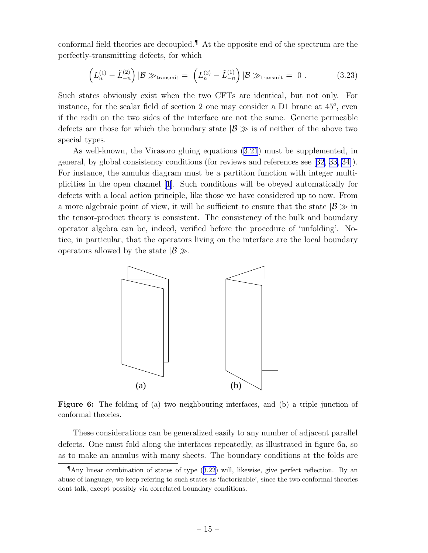conformal field theories are decoupled.¶ At the opposite end of the spectrum are the perfectly-transmitting defects, for which

$$
\left(L_n^{(1)} - \tilde{L}_{-n}^{(2)}\right)|\mathcal{B}\gg_{\text{transmit}} = \left(L_n^{(2)} - \tilde{L}_{-n}^{(1)}\right)|\mathcal{B}\gg_{\text{transmit}} = 0.
$$
 (3.23)

Such states obviously exist when the two CFTs are identical, but not only. For instance, for the scalar field of section 2 one may consider a  $D1$  brane at  $45^{\circ}$ , even if the radii on the two sides of the interface are not the same. Generic permeable defects are those for which the boundary state  $|\mathcal{B} \gg$  is of neither of the above two special types.

As well-known, the Virasoro gluing equations([3.21](#page-14-0)) must be supplemented, in general, by global consistency conditions (for reviews and references see[[32](#page-34-0), [33, 34\]](#page-34-0)). For instance, the annulus diagram must be a partition function with integer multiplicities in the open channel [\[1\]](#page-32-0). Such conditions will be obeyed automatically for defects with a local action principle, like those we have considered up to now. From a more algebraic point of view, it will be sufficient to ensure that the state  $|\mathcal{B} \gg \mathcal{B}|$ the tensor-product theory is consistent. The consistency of the bulk and boundary operator algebra can be, indeed, verified before the procedure of 'unfolding'. Notice, in particular, that the operators living on the interface are the local boundary operators allowed by the state  $|\mathcal{B} \gg$ .



Figure 6: The folding of (a) two neighbouring interfaces, and (b) a triple junction of conformal theories.

These considerations can be generalized easily to any number of adjacent parallel defects. One must fold along the interfaces repeatedly, as illustrated in figure 6a, so as to make an annulus with many sheets. The boundary conditions at the folds are

<sup>¶</sup>Any linear combination of states of type ([3.22\)](#page-14-0) will, likewise, give perfect reflection. By an abuse of language, we keep refering to such states as 'factorizable', since the two conformal theories dont talk, except possibly via correlated boundary conditions.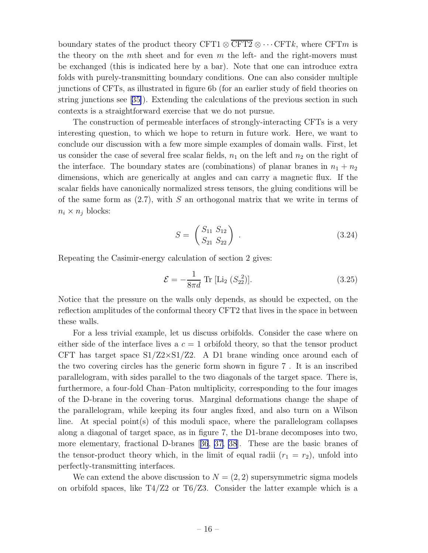boundary states of the product theory CFT1  $\otimes$  CFT2  $\otimes \cdots$  CFTk, where CFTm is the theory on the mth sheet and for even  $m$  the left- and the right-movers must be exchanged (this is indicated here by a bar). Note that one can introduce extra folds with purely-transmitting boundary conditions. One can also consider multiple junctions of CFTs, as illustrated in figure 6b (for an earlier study of field theories on string junctions see [\[35\]](#page-34-0)). Extending the calculations of the previous section in such contexts is a straightforward exercise that we do not pursue.

The construction of permeable interfaces of strongly-interacting CFTs is a very interesting question, to which we hope to return in future work. Here, we want to conclude our discussion with a few more simple examples of domain walls. First, let us consider the case of several free scalar fields,  $n_1$  on the left and  $n_2$  on the right of the interface. The boundary states are (combinations) of planar branes in  $n_1 + n_2$ dimensions, which are generically at angles and can carry a magnetic flux. If the scalar fields have canonically normalized stress tensors, the gluing conditions will be of the same form as  $(2.7)$ , with S an orthogonal matrix that we write in terms of  $n_i \times n_j$  blocks:

$$
S = \begin{pmatrix} S_{11} & S_{12} \\ S_{21} & S_{22} \end{pmatrix} . \tag{3.24}
$$

Repeating the Casimir-energy calculation of section 2 gives:

$$
\mathcal{E} = -\frac{1}{8\pi d} \text{Tr} [\text{Li}_2 (S_{22}^2)]. \tag{3.25}
$$

Notice that the pressure on the walls only depends, as should be expected, on the reflection amplitudes of the conformal theory CFT2 that lives in the space in between these walls.

For a less trivial example, let us discuss orbifolds. Consider the case where on either side of the interface lives a  $c = 1$  orbifold theory, so that the tensor product CFT has target space  $S1/Z2 \times S1/Z2$ . A D1 brane winding once around each of the two covering circles has the generic form shown in figure 7 . It is an inscribed parallelogram, with sides parallel to the two diagonals of the target space. There is, furthermore, a four-fold Chan–Paton multiplicity, corresponding to the four images of the D-brane in the covering torus. Marginal deformations change the shape of the parallelogram, while keeping its four angles fixed, and also turn on a Wilson line. At special point $(s)$  of this moduli space, where the parallelogram collapses along a diagonal of target space, as in figure 7, the D1-brane decomposes into two, more elementary, fractional D-branes[[36](#page-34-0), [37, 38](#page-34-0)]. These are the basic branes of the tensor-product theory which, in the limit of equal radii  $(r_1 = r_2)$ , unfold into perfectly-transmitting interfaces.

We can extend the above discussion to  $N = (2, 2)$  supersymmetric sigma models on orbifold spaces, like  $T\frac{4}{Z2}$  or  $T\frac{6}{Z3}$ . Consider the latter example which is a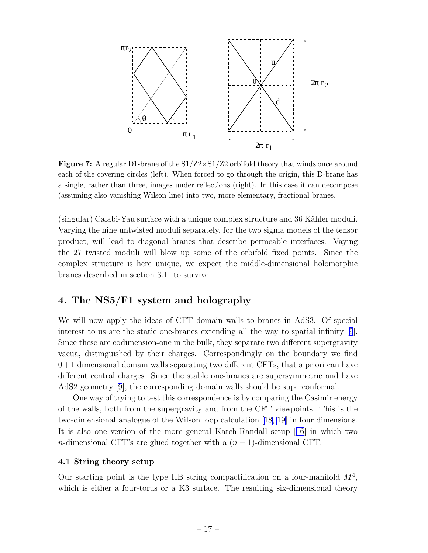

**Figure 7:** A regular D1-brane of the  $S1/Z2 \times S1/Z2$  orbifold theory that winds once around each of the covering circles (left). When forced to go through the origin, this D-brane has a single, rather than three, images under reflections (right). In this case it can decompose (assuming also vanishing Wilson line) into two, more elementary, fractional branes.

(singular) Calabi-Yau surface with a unique complex structure and 36 Kähler moduli. Varying the nine untwisted moduli separately, for the two sigma models of the tensor product, will lead to diagonal branes that describe permeable interfaces. Vaying the 27 twisted moduli will blow up some of the orbifold fixed points. Since the complex structure is here unique, we expect the middle-dimensional holomorphic branes described in section 3.1. to survive

# 4. The NS5/F1 system and holography

We will now apply the ideas of CFT domain walls to branes in AdS3. Of special interest to us are the static one-branes extending all the way to spatial infinity[[9](#page-32-0)]. Since these are codimension-one in the bulk, they separate two different supergravity vacua, distinguished by their charges. Correspondingly on the boundary we find  $0+1$  dimensional domain walls separating two different CFTs, that a priori can have different central charges. Since the stable one-branes are supersymmetric and have AdS2 geometry [\[9](#page-32-0)], the corresponding domain walls should be superconformal.

One way of trying to test this correspondence is by comparing the Casimir energy of the walls, both from the supergravity and from the CFT viewpoints. This is the two-dimensional analogue of the Wilson loop calculation[[18, 19](#page-33-0)] in four dimensions. It is also one version of the more general Karch-Randall setup[[16](#page-33-0)] in which two n-dimensional CFT's are glued together with a  $(n-1)$ -dimensional CFT.

#### 4.1 String theory setup

Our starting point is the type IIB string compactification on a four-manifold  $M<sup>4</sup>$ , which is either a four-torus or a K3 surface. The resulting six-dimensional theory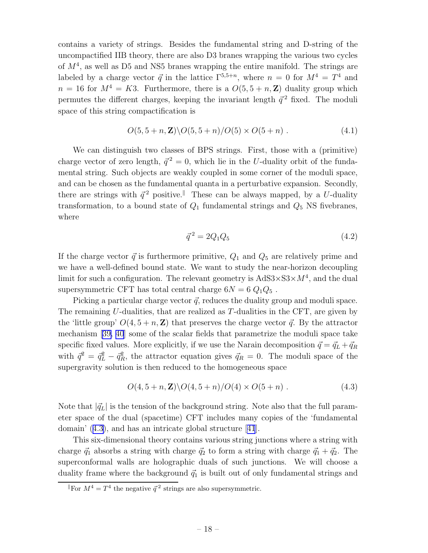contains a variety of strings. Besides the fundamental string and D-string of the uncompactified IIB theory, there are also D3 branes wrapping the various two cycles of  $M<sup>4</sup>$ , as well as D5 and NS5 branes wrapping the entire manifold. The strings are labeled by a charge vector  $\vec{q}$  in the lattice  $\Gamma^{5,5+n}$ , where  $n = 0$  for  $M^4 = T^4$  and  $n = 16$  for  $M^4 = K3$ . Furthermore, there is a  $O(5, 5 + n, \mathbb{Z})$  duality group which permutes the different charges, keeping the invariant length  $\vec{q}^2$  fixed. The moduli space of this string compactification is

$$
O(5, 5 + n, \mathbf{Z}) \setminus O(5, 5 + n) / O(5) \times O(5 + n) . \tag{4.1}
$$

We can distinguish two classes of BPS strings. First, those with a (primitive) charge vector of zero length,  $\vec{q}^2 = 0$ , which lie in the U-duality orbit of the fundamental string. Such objects are weakly coupled in some corner of the moduli space, and can be chosen as the fundamental quanta in a perturbative expansion. Secondly, there are strings with  $\vec{q}^2$  positive.<sup>||</sup> These can be always mapped, by a U-duality transformation, to a bound state of  $Q_1$  fundamental strings and  $Q_5$  NS fivebranes, where

$$
\vec{q}^2 = 2Q_1 Q_5 \tag{4.2}
$$

If the charge vector  $\vec{q}$  is furthermore primitive,  $Q_1$  and  $Q_5$  are relatively prime and we have a well-defined bound state. We want to study the near-horizon decoupling limit for such a configuration. The relevant geometry is  $AdS3 \times S3 \times M<sup>4</sup>$ , and the dual supersymmetric CFT has total central charge  $6N = 6 Q_1 Q_5$ .

Picking a particular charge vector  $\vec{q}$ , reduces the duality group and moduli space. The remaining U-dualities, that are realized as T-dualities in the CFT, are given by the 'little group'  $O(4, 5 + n, \mathbb{Z})$  that preserves the charge vector  $\vec{q}$ . By the attractor mechanism[[39, 40](#page-34-0)] some of the scalar fields that parametrize the moduli space take specific fixed values. More explicitly, if we use the Narain decomposition  $\vec{q} = \vec{q}_L + \vec{q}_R$ with  $\vec{q}^2 = \vec{q}_L^2 - \vec{q}_R^2$ , the attractor equation gives  $\vec{q}_R = 0$ . The moduli space of the supergravity solution is then reduced to the homogeneous space

$$
O(4, 5 + n, \mathbf{Z}) \setminus O(4, 5 + n) / O(4) \times O(5 + n)
$$
 (4.3)

Note that  $|\vec{q}_L|$  is the tension of the background string. Note also that the full parameter space of the dual (spacetime) CFT includes many copies of the 'fundamental domain' (4.3), and has an intricate global structure[[41](#page-34-0)].

This six-dimensional theory contains various string junctions where a string with charge  $\vec{q}_1$  absorbs a string with charge  $\vec{q}_2$  to form a string with charge  $\vec{q}_1 + \vec{q}_2$ . The superconformal walls are holographic duals of such junctions. We will choose a duality frame where the background  $\vec{q}_1$  is built out of only fundamental strings and

For  $M^4 = T^4$  the negative  $\vec{q}^2$  strings are also supersymmetric.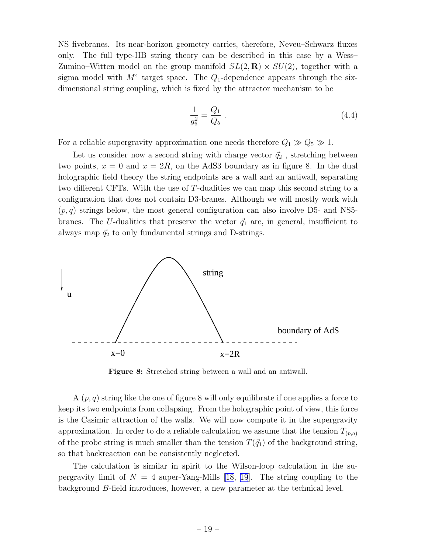NS fivebranes. Its near-horizon geometry carries, therefore, Neveu–Schwarz fluxes only. The full type-IIB string theory can be described in this case by a Wess– Zumino–Witten model on the group manifold  $SL(2,\mathbf{R}) \times SU(2)$ , together with a sigma model with  $M^4$  target space. The  $Q_1$ -dependence appears through the sixdimensional string coupling, which is fixed by the attractor mechanism to be

$$
\frac{1}{g_6^2} = \frac{Q_1}{Q_5} \tag{4.4}
$$

For a reliable supergravity approximation one needs therefore  $Q_1 \gg Q_5 \gg 1$ .

Let us consider now a second string with charge vector  $\vec{q}_2$ , stretching between two points,  $x = 0$  and  $x = 2R$ , on the AdS3 boundary as in figure 8. In the dual holographic field theory the string endpoints are a wall and an antiwall, separating two different CFTs. With the use of T-dualities we can map this second string to a configuration that does not contain D3-branes. Although we will mostly work with  $(p, q)$  strings below, the most general configuration can also involve D5- and NS5branes. The U-dualities that preserve the vector  $\vec{q}_1$  are, in general, insufficient to always map  $\vec{q}_2$  to only fundamental strings and D-strings.



Figure 8: Stretched string between a wall and an antiwall.

A  $(p, q)$  string like the one of figure 8 will only equilibrate if one applies a force to keep its two endpoints from collapsing. From the holographic point of view, this force is the Casimir attraction of the walls. We will now compute it in the supergravity approximation. In order to do a reliable calculation we assume that the tension  $T_{(p,q)}$ of the probe string is much smaller than the tension  $T(\vec{q}_1)$  of the background string, so that backreaction can be consistently neglected.

The calculation is similar in spirit to the Wilson-loop calculation in the supergravity limit of  $N = 4$  super-Yang-Mills [\[18, 19](#page-33-0)]. The string coupling to the background B-field introduces, however, a new parameter at the technical level.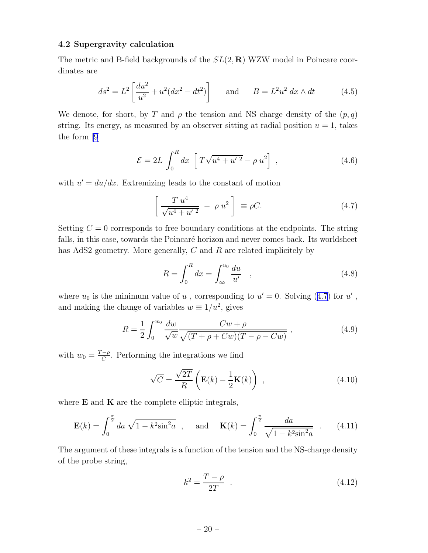### <span id="page-20-0"></span>4.2 Supergravity calculation

The metric and B-field backgrounds of the  $SL(2,\mathbf{R})$  WZW model in Poincare coordinates are

$$
ds^{2} = L^{2} \left[ \frac{du^{2}}{u^{2}} + u^{2} (dx^{2} - dt^{2}) \right] \quad \text{and} \quad B = L^{2} u^{2} dx \wedge dt \quad (4.5)
$$

We denote, for short, by T and  $\rho$  the tension and NS charge density of the  $(p, q)$ string. Its energy, as measured by an observer sitting at radial position  $u = 1$ , takes the form [\[9](#page-32-0)]

$$
\mathcal{E} = 2L \int_0^R dx \left[ T\sqrt{u^4 + u'^2} - \rho u^2 \right],
$$
 (4.6)

with  $u' = du/dx$ . Extremizing leads to the constant of motion

$$
\left[\frac{T u^4}{\sqrt{u^4 + {u'}^2}} - \rho u^2\right] \equiv \rho C.
$$
 (4.7)

Setting  $C = 0$  corresponds to free boundary conditions at the endpoints. The string falls, in this case, towards the Poincaré horizon and never comes back. Its worldsheet has AdS2 geometry. More generally, C and R are related implicitely by

$$
R = \int_0^R dx = \int_{\infty}^{u_0} \frac{du}{u'} , \qquad (4.8)
$$

where  $u_0$  is the minimum value of  $u$ , corresponding to  $u' = 0$ . Solving (4.7) for  $u'$ , and making the change of variables  $w \equiv 1/u^2$ , gives

$$
R = \frac{1}{2} \int_0^{w_0} \frac{dw}{\sqrt{w}} \frac{Cw + \rho}{\sqrt{(T + \rho + Cw)(T - \rho - Cw)}},
$$
\n(4.9)

with  $w_0 = \frac{T - \rho}{C}$ . Performing the integrations we find

$$
\sqrt{C} = \frac{\sqrt{2T}}{R} \left( \mathbf{E}(k) - \frac{1}{2} \mathbf{K}(k) \right) , \qquad (4.10)
$$

where  $E$  and  $K$  are the complete elliptic integrals,

$$
\mathbf{E}(k) = \int_0^{\frac{\pi}{2}} da \sqrt{1 - k^2 \sin^2 a} , \text{ and } \mathbf{K}(k) = \int_0^{\frac{\pi}{2}} \frac{da}{\sqrt{1 - k^2 \sin^2 a}} . \quad (4.11)
$$

The argument of these integrals is a function of the tension and the NS-charge density of the probe string,

$$
k^2 = \frac{T - \rho}{2T} \quad . \tag{4.12}
$$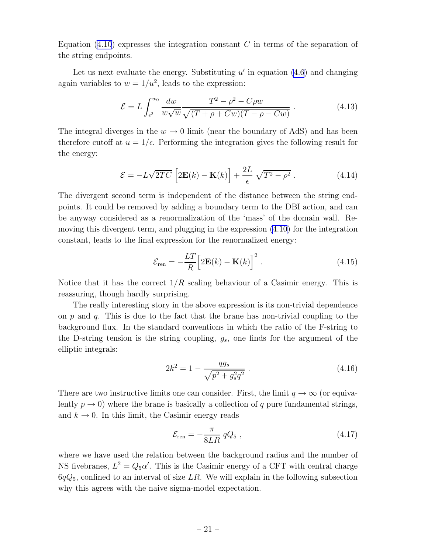<span id="page-21-0"></span>Equation  $(4.10)$  expresses the integration constant C in terms of the separation of the string endpoints.

Let us next evaluate the energy. Substituting  $u'$  in equation  $(4.6)$  and changing again variables to  $w = 1/u^2$ , leads to the expression:

$$
\mathcal{E} = L \int_{\epsilon^2}^{w_0} \frac{dw}{w\sqrt{w}} \frac{T^2 - \rho^2 - C\rho w}{\sqrt{(T + \rho + Cw)(T - \rho - Cw)}}.
$$
(4.13)

The integral diverges in the  $w \to 0$  limit (near the boundary of AdS) and has been therefore cutoff at  $u = 1/\epsilon$ . Performing the integration gives the following result for the energy:

$$
\mathcal{E} = -L\sqrt{2TC} \left[2\mathbf{E}(k) - \mathbf{K}(k)\right] + \frac{2L}{\epsilon} \sqrt{T^2 - \rho^2} \,. \tag{4.14}
$$

The divergent second term is independent of the distance between the string endpoints. It could be removed by adding a boundary term to the DBI action, and can be anyway considered as a renormalization of the 'mass' of the domain wall. Removing this divergent term, and plugging in the expression [\(4.10](#page-20-0)) for the integration constant, leads to the final expression for the renormalized energy:

$$
\mathcal{E}_{\text{ren}} = -\frac{LT}{R} \Big[ 2\mathbf{E}(k) - \mathbf{K}(k) \Big]^2 \,. \tag{4.15}
$$

Notice that it has the correct  $1/R$  scaling behaviour of a Casimir energy. This is reassuring, though hardly surprising.

The really interesting story in the above expression is its non-trivial dependence on p and q. This is due to the fact that the brane has non-trivial coupling to the background flux. In the standard conventions in which the ratio of the F-string to the D-string tension is the string coupling,  $g_s$ , one finds for the argument of the elliptic integrals:

$$
2k^2 = 1 - \frac{qg_s}{\sqrt{p^2 + g_s^2 q^2}} \tag{4.16}
$$

There are two instructive limits one can consider. First, the limit  $q \to \infty$  (or equivalently  $p \to 0$ ) where the brane is basically a collection of q pure fundamental strings, and  $k \to 0$ . In this limit, the Casimir energy reads

$$
\mathcal{E}_{\rm ren} = -\frac{\pi}{8LR} \, qQ_5 \,, \tag{4.17}
$$

where we have used the relation between the background radius and the number of NS fivebranes,  $L^2 = Q_5 \alpha'$ . This is the Casimir energy of a CFT with central charge  $6qQ_5$ , confined to an interval of size LR. We will explain in the following subsection why this agrees with the naive sigma-model expectation.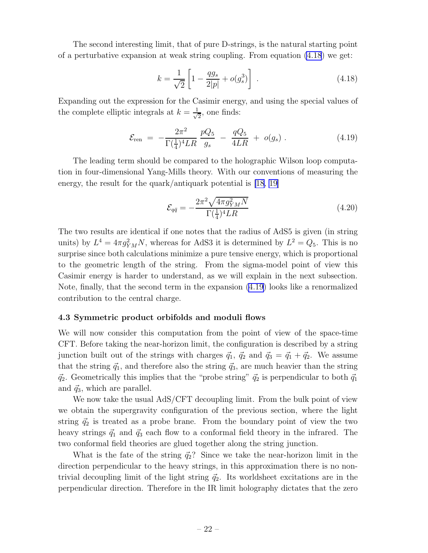The second interesting limit, that of pure D-strings, is the natural starting point of a perturbative expansion at weak string coupling. From equation [\(4.18](#page-21-0)) we get:

$$
k = \frac{1}{\sqrt{2}} \left[ 1 - \frac{q g_s}{2|p|} + o(g_s^3) \right] \tag{4.18}
$$

Expanding out the expression for the Casimir energy, and using the special values of the complete elliptic integrals at  $k = \frac{1}{\sqrt{k}}$  $\frac{1}{2}$ , one finds:

$$
\mathcal{E}_{\text{ren}} = -\frac{2\pi^2}{\Gamma(\frac{1}{4})^4LR} \frac{pQ_5}{g_s} - \frac{qQ_5}{4LR} + o(g_s) \,. \tag{4.19}
$$

The leading term should be compared to the holographic Wilson loop computation in four-dimensional Yang-Mills theory. With our conventions of measuring the energy, the result for the quark/antiquark potential is [\[18](#page-33-0), [19\]](#page-33-0)

$$
\mathcal{E}_{q\bar{q}} = -\frac{2\pi^2 \sqrt{4\pi g_{YM}^2 N}}{\Gamma(\frac{1}{4})^4 LR} \tag{4.20}
$$

The two results are identical if one notes that the radius of AdS5 is given (in string units) by  $L^4 = 4\pi g_{YM}^2 N$ , whereas for AdS3 it is determined by  $L^2 = Q_5$ . This is no surprise since both calculations minimize a pure tensive energy, which is proportional to the geometric length of the string. From the sigma-model point of view this Casimir energy is harder to understand, as we will explain in the next subsection. Note, finally, that the second term in the expansion (4.19) looks like a renormalized contribution to the central charge.

# 4.3 Symmetric product orbifolds and moduli flows

We will now consider this computation from the point of view of the space-time CFT. Before taking the near-horizon limit, the configuration is described by a string junction built out of the strings with charges  $\vec{q}_1, \vec{q}_2$  and  $\vec{q}_3 = \vec{q}_1 + \vec{q}_2$ . We assume that the string  $\vec{q}_1$ , and therefore also the string  $\vec{q}_3$ , are much heavier than the string  $\vec{q}_2$ . Geometrically this implies that the "probe string"  $\vec{q}_2$  is perpendicular to both  $\vec{q}_1$ and  $\vec{q}_3$ , which are parallel.

We now take the usual AdS/CFT decoupling limit. From the bulk point of view we obtain the supergravity configuration of the previous section, where the light string  $\vec{q}_2$  is treated as a probe brane. From the boundary point of view the two heavy strings  $\vec{q}_1$  and  $\vec{q}_3$  each flow to a conformal field theory in the infrared. The two conformal field theories are glued together along the string junction.

What is the fate of the string  $\vec{q}_2$ ? Since we take the near-horizon limit in the direction perpendicular to the heavy strings, in this approximation there is no nontrivial decoupling limit of the light string  $\vec{q}_2$ . Its worldsheet excitations are in the perpendicular direction. Therefore in the IR limit holography dictates that the zero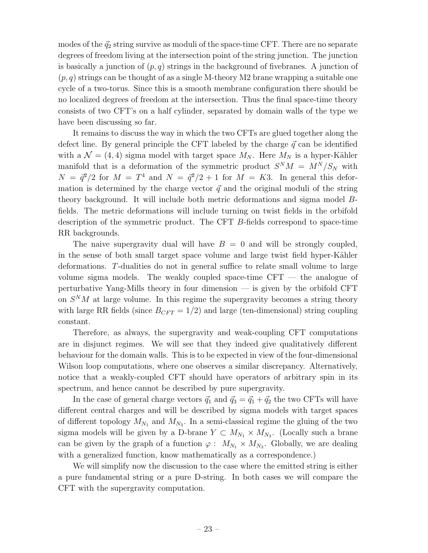modes of the  $\vec{q}_2$  string survive as moduli of the space-time CFT. There are no separate degrees of freedom living at the intersection point of the string junction. The junction is basically a junction of  $(p, q)$  strings in the background of fivebranes. A junction of  $(p, q)$  strings can be thought of as a single M-theory M2 brane wrapping a suitable one cycle of a two-torus. Since this is a smooth membrane configuration there should be no localized degrees of freedom at the intersection. Thus the final space-time theory consists of two CFT's on a half cylinder, separated by domain walls of the type we have been discussing so far.

It remains to discuss the way in which the two CFTs are glued together along the defect line. By general principle the CFT labeled by the charge  $\vec{q}$  can be identified with a  $\mathcal{N} = (4, 4)$  sigma model with target space  $M_N$ . Here  $M_N$  is a hyper-Kähler manifold that is a deformation of the symmetric product  $S^{N}M = M^{N}/S_{N}$  with  $N = \frac{\bar{q}^2}{2}$  for  $M = T^4$  and  $N = \frac{\bar{q}^2}{2} + 1$  for  $M = K3$ . In general this deformation is determined by the charge vector  $\vec{q}$  and the original moduli of the string theory background. It will include both metric deformations and sigma model Bfields. The metric deformations will include turning on twist fields in the orbifold description of the symmetric product. The CFT B-fields correspond to space-time RR backgrounds.

The naive supergravity dual will have  $B = 0$  and will be strongly coupled, in the sense of both small target space volume and large twist field hyper-Kähler deformations. T-dualities do not in general suffice to relate small volume to large volume sigma models. The weakly coupled space-time CFT — the analogue of perturbative Yang-Mills theory in four dimension — is given by the orbifold CFT on  $S^{N}M$  at large volume. In this regime the supergravity becomes a string theory with large RR fields (since  $B_{CFT} = 1/2$ ) and large (ten-dimensional) string coupling constant.

Therefore, as always, the supergravity and weak-coupling CFT computations are in disjunct regimes. We will see that they indeed give qualitatively different behaviour for the domain walls. This is to be expected in view of the four-dimensional Wilson loop computations, where one observes a similar discrepancy. Alternatively, notice that a weakly-coupled CFT should have operators of arbitrary spin in its spectrum, and hence cannot be described by pure supergravity.

In the case of general charge vectors  $\vec{q}_1$  and  $\vec{q}_3 = \vec{q}_1 + \vec{q}_2$  the two CFTs will have different central charges and will be described by sigma models with target spaces of different topology  $M_{N_1}$  and  $M_{N_3}$ . In a semi-classical regime the gluing of the two sigma models will be given by a D-brane  $Y \subset M_{N_1} \times M_{N_3}$ . (Locally such a brane can be given by the graph of a function  $\varphi: M_{N_1} \times M_{N_3}$ . Globally, we are dealing with a generalized function, know mathematically as a correspondence.)

We will simplify now the discussion to the case where the emitted string is either a pure fundamental string or a pure D-string. In both cases we will compare the CFT with the supergravity computation.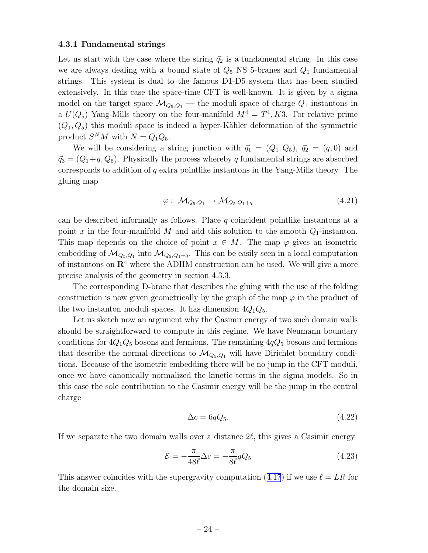### 4.3.1 Fundamental strings

Let us start with the case where the string  $\vec{q}_2$  is a fundamental string. In this case we are always dealing with a bound state of  $Q_5$  NS 5-branes and  $Q_1$  fundamental strings. This system is dual to the famous D1-D5 system that has been studied extensively. In this case the space-time CFT is well-known. It is given by a sigma model on the target space  $\mathcal{M}_{Q_5,Q_1}$  — the moduli space of charge  $Q_1$  instantons in a  $U(Q_5)$  Yang-Mills theory on the four-manifold  $M^4 = T^4, K3$ . For relative prime  $(Q_1, Q_5)$  this moduli space is indeed a hyper-Kähler deformation of the symmetric product  $S^{N}M$  with  $N = Q_{1}Q_{5}$ .

We will be considering a string junction with  $\vec{q}_1 = (Q_1, Q_5), \vec{q}_2 = (q, 0)$  and  $\vec{q}_3 = (Q_1 + q, Q_5)$ . Physically the process whereby q fundamental strings are absorbed corresponds to addition of  $q$  extra pointlike instantons in the Yang-Mills theory. The gluing map

$$
\varphi: \ \mathcal{M}_{Q_5, Q_1} \to \mathcal{M}_{Q_5, Q_1 + q} \tag{4.21}
$$

can be described informally as follows. Place  $q$  coincident pointlike instantons at a point x in the four-manifold M and add this solution to the smooth  $Q_1$ -instanton. This map depends on the choice of point  $x \in M$ . The map  $\varphi$  gives an isometric embedding of  $\mathcal{M}_{Q_5,Q_1}$  into  $\mathcal{M}_{Q_5,Q_1+q}$ . This can be easily seen in a local computation of instantons on  $\mathbb{R}^4$  where the ADHM construction can be used. We will give a more precise analysis of the geometry in section 4.3.3.

The corresponding D-brane that describes the gluing with the use of the folding construction is now given geometrically by the graph of the map  $\varphi$  in the product of the two instanton moduli spaces. It has dimension  $4Q_1Q_5$ .

Let us sketch now an argument why the Casimir energy of two such domain walls should be straightforward to compute in this regime. We have Neumann boundary conditions for  $4Q_1Q_5$  bosons and fermions. The remaining  $4qQ_5$  bosons and fermions that describe the normal directions to  $\mathcal{M}_{Q_5,Q_1}$  will have Dirichlet boundary conditions. Because of the isometric embedding there will be no jump in the CFT moduli, once we have canonically normalized the kinetic terms in the sigma models. So in this case the sole contribution to the Casimir energy will be the jump in the central charge

$$
\Delta c = 6qQ_5. \tag{4.22}
$$

If we separate the two domain walls over a distance  $2\ell$ , this gives a Casimir energy

$$
\mathcal{E} = -\frac{\pi}{48\ell} \Delta c = -\frac{\pi}{8\ell} q Q_5 \tag{4.23}
$$

Thisanswer coincides with the supergravity computation ([4.17](#page-21-0)) if we use  $\ell = LR$  for the domain size.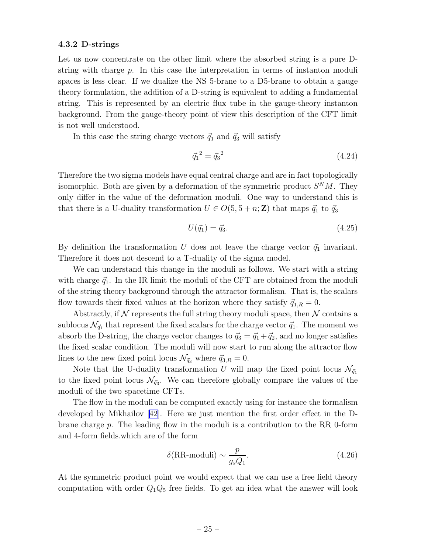### 4.3.2 D-strings

Let us now concentrate on the other limit where the absorbed string is a pure Dstring with charge p. In this case the interpretation in terms of instanton moduli spaces is less clear. If we dualize the NS 5-brane to a D5-brane to obtain a gauge theory formulation, the addition of a D-string is equivalent to adding a fundamental string. This is represented by an electric flux tube in the gauge-theory instanton background. From the gauge-theory point of view this description of the CFT limit is not well understood.

In this case the string charge vectors  $\vec{q}_1$  and  $\vec{q}_3$  will satisfy

$$
\vec{q}_1^2 = \vec{q}_3^2 \tag{4.24}
$$

Therefore the two sigma models have equal central charge and are in fact topologically isomorphic. Both are given by a deformation of the symmetric product  $S^{N}M$ . They only differ in the value of the deformation moduli. One way to understand this is that there is a U-duality transformation  $U \in O(5, 5 + n; \mathbb{Z})$  that maps  $\vec{q}_1$  to  $\vec{q}_3$ 

$$
U(\vec{q}_1) = \vec{q}_3. \tag{4.25}
$$

By definition the transformation U does not leave the charge vector  $\vec{q}_1$  invariant. Therefore it does not descend to a T-duality of the sigma model.

We can understand this change in the moduli as follows. We start with a string with charge  $\vec{q}_1$ . In the IR limit the moduli of the CFT are obtained from the moduli of the string theory background through the attractor formalism. That is, the scalars flow towards their fixed values at the horizon where they satisfy  $\vec{q}_{1,R} = 0$ .

Abstractly, if  $\mathcal N$  represents the full string theory moduli space, then  $\mathcal N$  contains a sublocus  $\mathcal{N}_{\vec{q}_1}$  that represent the fixed scalars for the charge vector  $\vec{q}_1$ . The moment we absorb the D-string, the charge vector changes to  $\vec{q}_3 = \vec{q}_1 + \vec{q}_2$ , and no longer satisfies the fixed scalar condition. The moduli will now start to run along the attractor flow lines to the new fixed point locus  $\mathcal{N}_{\vec{q}_3}$  where  $\vec{q}_{3,R} = 0$ .

Note that the U-duality transformation U will map the fixed point locus  $\mathcal{N}_{\vec{q}_1}$ to the fixed point locus  $\mathcal{N}_{\vec{q}_3}$ . We can therefore globally compare the values of the moduli of the two spacetime CFTs.

The flow in the moduli can be computed exactly using for instance the formalism developed by Mikhailov[[42\]](#page-34-0). Here we just mention the first order effect in the Dbrane charge p. The leading flow in the moduli is a contribution to the RR 0-form and 4-form fields.which are of the form

$$
\delta(\text{RR-moduli}) \sim \frac{p}{g_s Q_1}.\tag{4.26}
$$

At the symmetric product point we would expect that we can use a free field theory computation with order  $Q_1Q_5$  free fields. To get an idea what the answer will look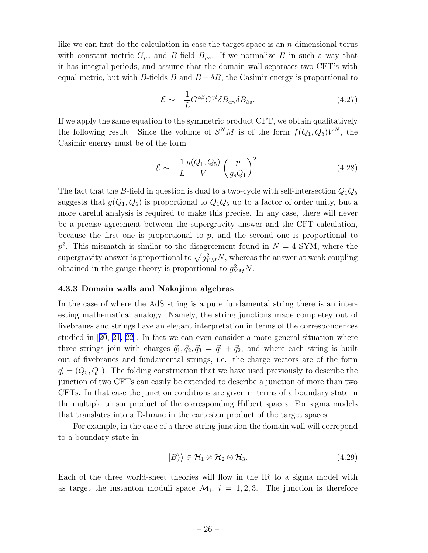like we can first do the calculation in case the target space is an  $n$ -dimensional torus with constant metric  $G_{\mu\nu}$  and B-field  $B_{\mu\nu}$ . If we normalize B in such a way that it has integral periods, and assume that the domain wall separates two CFT's with equal metric, but with B-fields B and  $B + \delta B$ , the Casimir energy is proportional to

$$
\mathcal{E} \sim -\frac{1}{L} G^{\alpha\beta} G^{\gamma\delta} \delta B_{\alpha\gamma} \delta B_{\beta\delta}.
$$
 (4.27)

If we apply the same equation to the symmetric product CFT, we obtain qualitatively the following result. Since the volume of  $S^{N}M$  is of the form  $f(Q_1, Q_5)V^{N}$ , the Casimir energy must be of the form

$$
\mathcal{E} \sim -\frac{1}{L} \frac{g(Q_1, Q_5)}{V} \left(\frac{p}{g_s Q_1}\right)^2.
$$
\n(4.28)

The fact that the B-field in question is dual to a two-cycle with self-intersection  $Q_1Q_5$ suggests that  $g(Q_1, Q_5)$  is proportional to  $Q_1Q_5$  up to a factor of order unity, but a more careful analysis is required to make this precise. In any case, there will never be a precise agreement between the supergravity answer and the CFT calculation, because the first one is proportional to  $p$ , and the second one is proportional to  $p^2$ . This mismatch is similar to the disagreement found in  $N = 4$  SYM, where the supergravity answer is proportional to  $\sqrt{g_{YM}^2 N}$ , whereas the answer at weak coupling obtained in the gauge theory is proportional to  $g_{YM}^2 N$ .

## 4.3.3 Domain walls and Nakajima algebras

In the case of where the AdS string is a pure fundamental string there is an interesting mathematical analogy. Namely, the string junctions made completey out of fivebranes and strings have an elegant interpretation in terms of the correspondences studied in[[20](#page-33-0), [21](#page-33-0), [22](#page-33-0)]. In fact we can even consider a more general situation where three strings join with charges  $\vec{q}_1, \vec{q}_2, \vec{q}_3 = \vec{q}_1 + \vec{q}_2$ , and where each string is built out of fivebranes and fundamental strings, i.e. the charge vectors are of the form  $\vec{q}_i = (Q_5, Q_1)$ . The folding construction that we have used previously to describe the junction of two CFTs can easily be extended to describe a junction of more than two CFTs. In that case the junction conditions are given in terms of a boundary state in the multiple tensor product of the corresponding Hilbert spaces. For sigma models that translates into a D-brane in the cartesian product of the target spaces.

For example, in the case of a three-string junction the domain wall will correpond to a boundary state in

$$
|B\rangle\rangle \in \mathcal{H}_1 \otimes \mathcal{H}_2 \otimes \mathcal{H}_3. \tag{4.29}
$$

Each of the three world-sheet theories will flow in the IR to a sigma model with as target the instanton moduli space  $\mathcal{M}_i$ ,  $i = 1, 2, 3$ . The junction is therefore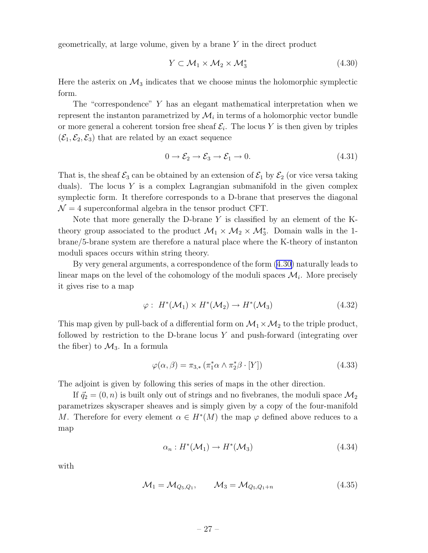geometrically, at large volume, given by a brane Y in the direct product

$$
Y \subset \mathcal{M}_1 \times \mathcal{M}_2 \times \mathcal{M}_3^* \tag{4.30}
$$

Here the asterix on  $\mathcal{M}_3$  indicates that we choose minus the holomorphic symplectic form.

The "correspondence" Y has an elegant mathematical interpretation when we represent the instanton parametrized by  $\mathcal{M}_i$  in terms of a holomorphic vector bundle or more general a coherent torsion free sheaf  $\mathcal{E}_i$ . The locus Y is then given by triples  $(\mathcal{E}_1, \mathcal{E}_2, \mathcal{E}_3)$  that are related by an exact sequence

$$
0 \to \mathcal{E}_2 \to \mathcal{E}_3 \to \mathcal{E}_1 \to 0. \tag{4.31}
$$

That is, the sheaf  $\mathcal{E}_3$  can be obtained by an extension of  $\mathcal{E}_1$  by  $\mathcal{E}_2$  (or vice versa taking duals). The locus  $Y$  is a complex Lagrangian submanifold in the given complex symplectic form. It therefore corresponds to a D-brane that preserves the diagonal  $\mathcal{N} = 4$  superconformal algebra in the tensor product CFT.

Note that more generally the D-brane Y is classified by an element of the Ktheory group associated to the product  $\mathcal{M}_1 \times \mathcal{M}_2 \times \mathcal{M}_3^*$ . Domain walls in the 1brane/5-brane system are therefore a natural place where the K-theory of instanton moduli spaces occurs within string theory.

By very general arguments, a correspondence of the form (4.30) naturally leads to linear maps on the level of the cohomology of the moduli spaces  $\mathcal{M}_i$ . More precisely it gives rise to a map

$$
\varphi: H^*(\mathcal{M}_1) \times H^*(\mathcal{M}_2) \to H^*(\mathcal{M}_3) \tag{4.32}
$$

This map given by pull-back of a differential form on  $\mathcal{M}_1 \times \mathcal{M}_2$  to the triple product, followed by restriction to the D-brane locus  $Y$  and push-forward (integrating over the fiber) to  $\mathcal{M}_3$ . In a formula

$$
\varphi(\alpha,\beta) = \pi_{3,*} \left( \pi_1^* \alpha \wedge \pi_2^* \beta \cdot [Y] \right) \tag{4.33}
$$

The adjoint is given by following this series of maps in the other direction.

If  $\vec{q}_2 = (0, n)$  is built only out of strings and no fivebranes, the moduli space  $\mathcal{M}_2$ parametrizes skyscraper sheaves and is simply given by a copy of the four-manifold M. Therefore for every element  $\alpha \in H^*(M)$  the map  $\varphi$  defined above reduces to a map

$$
\alpha_n: H^*(\mathcal{M}_1) \to H^*(\mathcal{M}_3) \tag{4.34}
$$

with

$$
M_1 = M_{Q_5, Q_1}, \qquad M_3 = M_{Q_5, Q_1 + n} \tag{4.35}
$$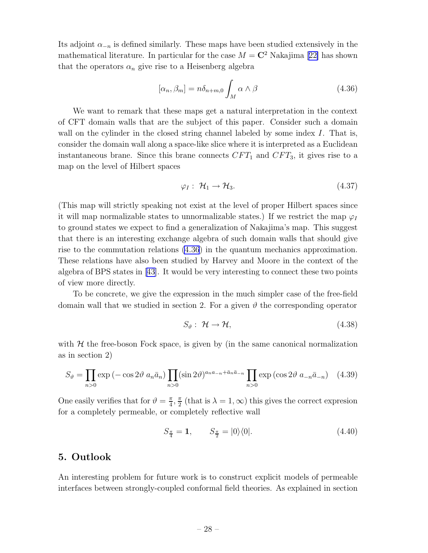Its adjoint  $\alpha_{-n}$  is defined similarly. These maps have been studied extensively in the mathematicalliterature. In particular for the case  $M = \mathbb{C}^2$  Nakajima [[22\]](#page-33-0) has shown that the operators  $\alpha_n$  give rise to a Heisenberg algebra

$$
[\alpha_n, \beta_m] = n\delta_{n+m,0} \int_M \alpha \wedge \beta \tag{4.36}
$$

We want to remark that these maps get a natural interpretation in the context of CFT domain walls that are the subject of this paper. Consider such a domain wall on the cylinder in the closed string channel labeled by some index I. That is, consider the domain wall along a space-like slice where it is interpreted as a Euclidean instantaneous brane. Since this brane connects  $CFT_1$  and  $CFT_3$ , it gives rise to a map on the level of Hilbert spaces

$$
\varphi_I: \ \mathcal{H}_1 \to \mathcal{H}_3. \tag{4.37}
$$

(This map will strictly speaking not exist at the level of proper Hilbert spaces since it will map normalizable states to unnormalizable states.) If we restrict the map  $\varphi_I$ to ground states we expect to find a generalization of Nakajima's map. This suggest that there is an interesting exchange algebra of such domain walls that should give rise to the commutation relations (4.36) in the quantum mechanics approximation. These relations have also been studied by Harvey and Moore in the context of the algebra of BPS states in [\[43\]](#page-34-0). It would be very interesting to connect these two points of view more directly.

To be concrete, we give the expression in the much simpler case of the free-field domain wall that we studied in section 2. For a given  $\vartheta$  the corresponding operator

$$
S_{\vartheta}: \mathcal{H} \to \mathcal{H}, \tag{4.38}
$$

with  $H$  the free-boson Fock space, is given by (in the same canonical normalization as in section 2)

$$
S_{\vartheta} = \prod_{n>0} \exp\left(-\cos 2\vartheta \ a_n \bar{a}_n\right) \prod_{n>0} (\sin 2\vartheta)^{a_n a_{-n} + \bar{a}_n \bar{a}_{-n}} \prod_{n>0} \exp\left(\cos 2\vartheta \ a_{-n} \bar{a}_{-n}\right) \tag{4.39}
$$

One easily verifies that for  $\vartheta = \frac{\pi}{4}$  $\frac{\pi}{4}$ ,  $\frac{\pi}{2}$  $\frac{\pi}{2}$  (that is  $\lambda = 1, \infty$ ) this gives the correct expresion for a completely permeable, or completely reflective wall

$$
S_{\frac{\pi}{4}} = 1, \qquad S_{\frac{\pi}{2}} = |0\rangle\langle 0|.
$$
 (4.40)

# 5. Outlook

An interesting problem for future work is to construct explicit models of permeable interfaces between strongly-coupled conformal field theories. As explained in section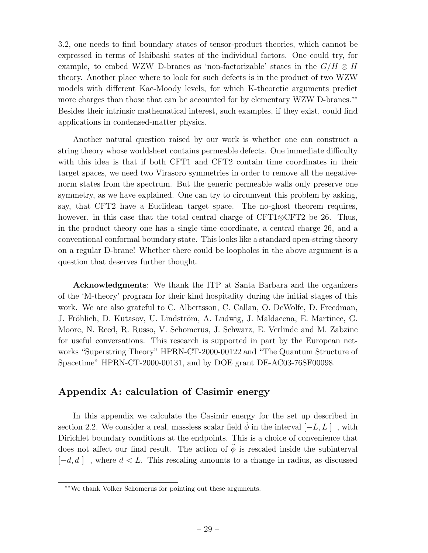3.2, one needs to find boundary states of tensor-product theories, which cannot be expressed in terms of Ishibashi states of the individual factors. One could try, for example, to embed WZW D-branes as 'non-factorizable' states in the  $G/H \otimes H$ theory. Another place where to look for such defects is in the product of two WZW models with different Kac-Moody levels, for which K-theoretic arguments predict more charges than those that can be accounted for by elementary WZW D-branes.<sup>\*\*</sup> Besides their intrinsic mathematical interest, such examples, if they exist, could find applications in condensed-matter physics.

Another natural question raised by our work is whether one can construct a string theory whose worldsheet contains permeable defects. One immediate difficulty with this idea is that if both CFT1 and CFT2 contain time coordinates in their target spaces, we need two Virasoro symmetries in order to remove all the negativenorm states from the spectrum. But the generic permeable walls only preserve one symmetry, as we have explained. One can try to circumvent this problem by asking, say, that CFT2 have a Euclidean target space. The no-ghost theorem requires, however, in this case that the total central charge of CFT1⊗CFT2 be 26. Thus, in the product theory one has a single time coordinate, a central charge 26, and a conventional conformal boundary state. This looks like a standard open-string theory on a regular D-brane! Whether there could be loopholes in the above argument is a question that deserves further thought.

Acknowledgments: We thank the ITP at Santa Barbara and the organizers of the 'M-theory' program for their kind hospitality during the initial stages of this work. We are also grateful to C. Albertsson, C. Callan, O. DeWolfe, D. Freedman, J. Fröhlich, D. Kutasov, U. Lindström, A. Ludwig, J. Maldacena, E. Martinec, G. Moore, N. Reed, R. Russo, V. Schomerus, J. Schwarz, E. Verlinde and M. Zabzine for useful conversations. This research is supported in part by the European networks "Superstring Theory" HPRN-CT-2000-00122 and "The Quantum Structure of Spacetime" HPRN-CT-2000-00131, and by DOE grant DE-AC03-76SF00098.

# Appendix A: calculation of Casimir energy

In this appendix we calculate the Casimir energy for the set up described in section 2.2. We consider a real, massless scalar field  $\phi$  in the interval  $[-L, L]$ , with Dirichlet boundary conditions at the endpoints. This is a choice of convenience that does not affect our final result. The action of  $\phi$  is rescaled inside the subinterval  $[-d, d]$ , where  $d < L$ . This rescaling amounts to a change in radius, as discussed

<sup>∗∗</sup>We thank Volker Schomerus for pointing out these arguments.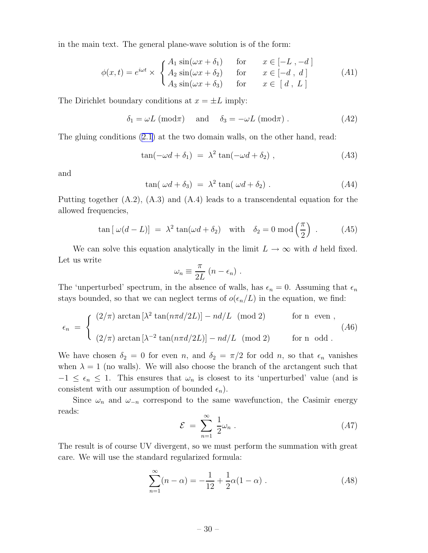in the main text. The general plane-wave solution is of the form:

$$
\phi(x,t) = e^{i\omega t} \times \begin{cases} A_1 \sin(\omega x + \delta_1) & \text{for} \quad x \in [-L, -d] \\ A_2 \sin(\omega x + \delta_2) & \text{for} \quad x \in [-d, d] \\ A_3 \sin(\omega x + \delta_3) & \text{for} \quad x \in [d, L] \end{cases}
$$
(A1)

The Dirichlet boundary conditions at  $x = \pm L$  imply:

$$
\delta_1 = \omega L \pmod{\pi} \quad \text{and} \quad \delta_3 = -\omega L \pmod{\pi} \ . \tag{A2}
$$

The gluing conditions [\(2.1](#page-2-0)) at the two domain walls, on the other hand, read:

$$
\tan(-\omega d + \delta_1) = \lambda^2 \tan(-\omega d + \delta_2), \qquad (A3)
$$

and

$$
\tan(\omega d + \delta_3) = \lambda^2 \tan(\omega d + \delta_2) \,. \tag{A4}
$$

Putting together  $(A.2)$ ,  $(A.3)$  and  $(A.4)$  leads to a transcendental equation for the allowed frequencies,

$$
\tan\left[\,\omega(d-L)\right] \;=\; \lambda^2 \tan(\omega d + \delta_2) \quad \text{with} \quad \delta_2 = 0 \,\,\text{mod}\left(\frac{\pi}{2}\right) \;.\tag{A5}
$$

We can solve this equation analytically in the limit  $L \to \infty$  with d held fixed. Let us write

$$
\omega_n \equiv \frac{\pi}{2L} (n - \epsilon_n) .
$$

The 'unperturbed' spectrum, in the absence of walls, has  $\epsilon_n = 0$ . Assuming that  $\epsilon_n$ stays bounded, so that we can neglect terms of  $o(\epsilon_n/L)$  in the equation, we find:

$$
\epsilon_n = \begin{cases}\n(2/\pi) \arctan\left[\lambda^2 \tan(n\pi d/2L)\right] - nd/L \pmod{2} & \text{for } n \text{ even }, \\
(2/\pi) \arctan\left[\lambda^{-2} \tan(n\pi d/2L)\right] - nd/L \pmod{2} & \text{for } n \text{ odd }.\n\end{cases}
$$

We have chosen  $\delta_2 = 0$  for even n, and  $\delta_2 = \pi/2$  for odd n, so that  $\epsilon_n$  vanishes when  $\lambda = 1$  (no walls). We will also choose the branch of the arctangent such that  $-1 \leq \epsilon_n \leq 1$ . This ensures that  $\omega_n$  is closest to its 'unperturbed' value (and is consistent with our assumption of bounded  $\epsilon_n$ ).

Since  $\omega_n$  and  $\omega_{-n}$  correspond to the same wavefunction, the Casimir energy reads:

$$
\mathcal{E} = \sum_{n=1}^{\infty} \frac{1}{2} \omega_n \,. \tag{A7}
$$

The result is of course UV divergent, so we must perform the summation with great care. We will use the standard regularized formula:

$$
\sum_{n=1}^{\infty} (n - \alpha) = -\frac{1}{12} + \frac{1}{2}\alpha(1 - \alpha) \tag{A8}
$$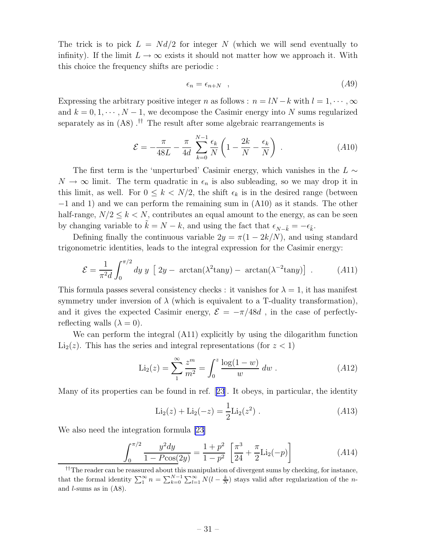The trick is to pick  $L = Nd/2$  for integer N (which we will send eventually to infinity). If the limit  $L \to \infty$  exists it should not matter how we approach it. With this choice the frequency shifts are periodic :

$$
\epsilon_n = \epsilon_{n+N} \quad , \tag{A9}
$$

Expressing the arbitrary positive integer n as follows :  $n = lN - k$  with  $l = 1, \dots, \infty$ and  $k = 0, 1, \dots, N - 1$ , we decompose the Casimir energy into N sums regularized separately as in (A8) .<sup>††</sup> The result after some algebraic rearrangements is

$$
\mathcal{E} = -\frac{\pi}{48L} - \frac{\pi}{4d} \sum_{k=0}^{N-1} \frac{\epsilon_k}{N} \left( 1 - \frac{2k}{N} - \frac{\epsilon_k}{N} \right) . \tag{A10}
$$

The first term is the 'unperturbed' Casimir energy, which vanishes in the  $L \sim$  $N \to \infty$  limit. The term quadratic in  $\epsilon_n$  is also subleading, so we may drop it in this limit, as well. For  $0 \leq k < N/2$ , the shift  $\epsilon_k$  is in the desired range (between −1 and 1) and we can perform the remaining sum in (A10) as it stands. The other half-range,  $N/2 \leq k < N$ , contributes an equal amount to the energy, as can be seen by changing variable to  $\tilde{k} = N - k$ , and using the fact that  $\epsilon_{N-\tilde{k}} = -\epsilon_{\tilde{k}}$ .

Defining finally the continuous variable  $2y = \pi(1 - 2k/N)$ , and using standard trigonometric identities, leads to the integral expression for the Casimir energy:

$$
\mathcal{E} = \frac{1}{\pi^2 d} \int_0^{\pi/2} dy \, y \, \left[ \, 2y - \arctan(\lambda^2 \tan y) - \arctan(\lambda^{-2} \tan y) \right] \, . \tag{A11}
$$

This formula passes several consistency checks : it vanishes for  $\lambda = 1$ , it has manifest symmetry under inversion of  $\lambda$  (which is equivalent to a T-duality transformation), and it gives the expected Casimir energy,  $\mathcal{E} = -\pi/48d$ , in the case of perfectlyreflecting walls  $(\lambda = 0)$ .

We can perform the integral (A11) explicitly by using the dilogarithm function  $Li<sub>2</sub>(z)$ . This has the series and integral representations (for  $z < 1$ )

$$
\text{Li}_2(z) = \sum_{1}^{\infty} \frac{z^m}{m^2} = \int_0^z \frac{\log(1 - w)}{w} \, dw \,. \tag{A12}
$$

Many of its properties can be found in ref.[[23](#page-33-0)]. It obeys, in particular, the identity

$$
\text{Li}_2(z) + \text{Li}_2(-z) = \frac{1}{2}\text{Li}_2(z^2) . \tag{A13}
$$

We also need the integration formula [\[23\]](#page-33-0)

$$
\int_0^{\pi/2} \frac{y^2 dy}{1 - P\cos(2y)} = \frac{1 + p^2}{1 - p^2} \left[ \frac{\pi^3}{24} + \frac{\pi}{2} \text{Li}_2(-p) \right]
$$
 (A14)

<sup>††</sup>The reader can be reassured about this manipulation of divergent sums by checking, for instance, that the formal identity  $\sum_{1}^{\infty} n = \sum_{k=0}^{N-1} \sum_{l=1}^{\infty} N(l - \frac{k}{N})$  stays valid after regularization of the nand l-sums as in (A8).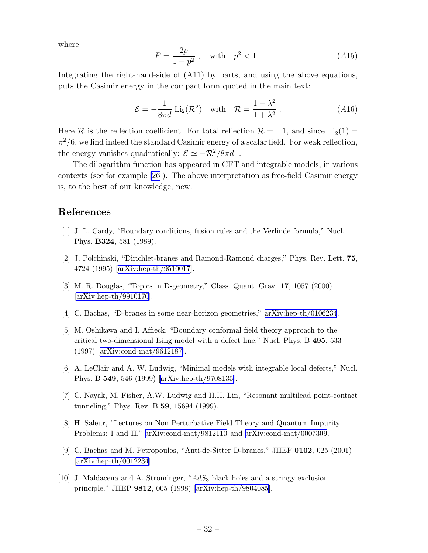<span id="page-32-0"></span>where

$$
P = \frac{2p}{1+p^2} , \quad \text{with} \quad p^2 < 1 . \tag{A15}
$$

Integrating the right-hand-side of (A11) by parts, and using the above equations, puts the Casimir energy in the compact form quoted in the main text:

$$
\mathcal{E} = -\frac{1}{8\pi d} \operatorname{Li}_2(\mathcal{R}^2) \quad \text{with} \quad \mathcal{R} = \frac{1 - \lambda^2}{1 + \lambda^2} \,. \tag{A16}
$$

Here R is the reflection coefficient. For total reflection  $\mathcal{R} = \pm 1$ , and since  $\text{Li}_2(1) =$  $\pi^2/6$ , we find indeed the standard Casimir energy of a scalar field. For weak reflection, the energy vanishes quadratically:  $\mathcal{E} \simeq -\mathcal{R}^2/8\pi d$ .

The dilogarithm function has appeared in CFT and integrable models, in various contexts (see for example [\[26\]](#page-33-0)). The above interpretation as free-field Casimir energy is, to the best of our knowledge, new.

# References

- [1] J. L. Cardy, "Boundary conditions, fusion rules and the Verlinde formula," Nucl. Phys. B324, 581 (1989).
- [2] J. Polchinski, "Dirichlet-branes and Ramond-Ramond charges," Phys. Rev. Lett. 75, 4724 (1995)[[arXiv:hep-th/9510017](http://arXiv.org/abs/hep-th/9510017)].
- [3] M. R. Douglas, "Topics in D-geometry," Class. Quant. Grav. 17, 1057 (2000) [\[arXiv:hep-th/9910170](http://arXiv.org/abs/hep-th/9910170)].
- [4] C. Bachas, "D-branes in some near-horizon geometries," [arXiv:hep-th/0106234](http://arXiv.org/abs/hep-th/0106234).
- [5] M. Oshikawa and I. Affleck, "Boundary conformal field theory approach to the critical two-dimensional Ising model with a defect line," Nucl. Phys. B 495, 533 (1997) [\[arXiv:cond-mat/9612187\]](http://arXiv.org/abs/cond-mat/9612187).
- [6] A. LeClair and A. W. Ludwig, "Minimal models with integrable local defects," Nucl. Phys. B 549, 546 (1999)[[arXiv:hep-th/9708135\]](http://arXiv.org/abs/hep-th/9708135).
- [7] C. Nayak, M. Fisher, A.W. Ludwig and H.H. Lin, "Resonant multilead point-contact tunneling," Phys. Rev. B 59, 15694 (1999).
- [8] H. Saleur, "Lectures on Non Perturbative Field Theory and Quantum Impurity Problems: I and II," [arXiv:cond-mat/9812110](http://arXiv.org/abs/cond-mat/9812110) and [arXiv:cond-mat/0007309](http://arXiv.org/abs/cond-mat/0007309).
- [9] C. Bachas and M. Petropoulos, "Anti-de-Sitter D-branes," JHEP 0102, 025 (2001) [\[arXiv:hep-th/0012234](http://arXiv.org/abs/hep-th/0012234)].
- [10] J. Maldacena and A. Strominger, "AdS<sub>3</sub> black holes and a stringy exclusion principle," JHEP 9812, 005 (1998) [\[arXiv:hep-th/9804085](http://arXiv.org/abs/hep-th/9804085)].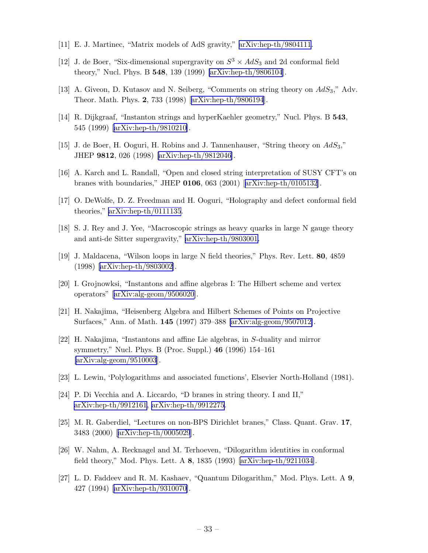- <span id="page-33-0"></span>[11] E. J. Martinec, "Matrix models of AdS gravity," [arXiv:hep-th/9804111](http://arXiv.org/abs/hep-th/9804111).
- [12] J. de Boer, "Six-dimensional supergravity on  $S^3 \times AdS_3$  and 2d conformal field theory," Nucl. Phys. B 548, 139 (1999) [\[arXiv:hep-th/9806104](http://arXiv.org/abs/hep-th/9806104)].
- [13] A. Giveon, D. Kutasov and N. Seiberg, "Comments on string theory on AdS3," Adv. Theor. Math. Phys. 2, 733 (1998)[[arXiv:hep-th/9806194](http://arXiv.org/abs/hep-th/9806194)].
- [14] R. Dijkgraaf, "Instanton strings and hyperKaehler geometry," Nucl. Phys. B 543, 545 (1999) [\[arXiv:hep-th/9810210\]](http://arXiv.org/abs/hep-th/9810210).
- [15] J. de Boer, H. Ooguri, H. Robins and J. Tannenhauser, "String theory on  $AdS_3$ ," JHEP 9812, 026 (1998) [\[arXiv:hep-th/9812046\]](http://arXiv.org/abs/hep-th/9812046).
- [16] A. Karch and L. Randall, "Open and closed string interpretation of SUSY CFT's on branes with boundaries," JHEP 0106, 063 (2001)[[arXiv:hep-th/0105132](http://arXiv.org/abs/hep-th/0105132)].
- [17] O. DeWolfe, D. Z. Freedman and H. Ooguri, "Holography and defect conformal field theories," [arXiv:hep-th/0111135](http://arXiv.org/abs/hep-th/0111135).
- [18] S. J. Rey and J. Yee, "Macroscopic strings as heavy quarks in large N gauge theory and anti-de Sitter supergravity," [arXiv:hep-th/9803001.](http://arXiv.org/abs/hep-th/9803001)
- [19] J. Maldacena, "Wilson loops in large N field theories," Phys. Rev. Lett. 80, 4859 (1998) [\[arXiv:hep-th/9803002\]](http://arXiv.org/abs/hep-th/9803002).
- [20] I. Grojnowksi, "Instantons and affine algebras I: The Hilbert scheme and vertex operators"[[arXiv:alg-geom/9506020](http://arXiv.org/abs/alg-geom/9506020)].
- [21] H. Nakajima, "Heisenberg Algebra and Hilbert Schemes of Points on Projective Surfaces," Ann. of Math. 145 (1997) 379–388 [\[arXiv:alg-geom/9507012\]](http://arXiv.org/abs/alg-geom/9507012).
- [22] H. Nakajima, "Instantons and affine Lie algebras, in S-duality and mirror symmetry," Nucl. Phys. B (Proc. Suppl.) 46 (1996) 154–161 [\[arXiv:alg-geom/9510003](http://arXiv.org/abs/alg-geom/9510003)].
- [23] L. Lewin, 'Polylogarithms and associated functions', Elsevier North-Holland (1981).
- [24] P. Di Vecchia and A. Liccardo, "D branes in string theory. I and II," [arXiv:hep-th/9912161](http://arXiv.org/abs/hep-th/9912161), [arXiv:hep-th/9912275.](http://arXiv.org/abs/hep-th/9912275)
- [25] M. R. Gaberdiel, "Lectures on non-BPS Dirichlet branes," Class. Quant. Grav. 17, 3483 (2000)[[arXiv:hep-th/0005029](http://arXiv.org/abs/hep-th/0005029)].
- [26] W. Nahm, A. Recknagel and M. Terhoeven, "Dilogarithm identities in conformal field theory," Mod. Phys. Lett. A 8, 1835 (1993) [\[arXiv:hep-th/9211034\]](http://arXiv.org/abs/hep-th/9211034).
- [27] L. D. Faddeev and R. M. Kashaev, "Quantum Dilogarithm," Mod. Phys. Lett. A 9, 427 (1994) [\[arXiv:hep-th/9310070\]](http://arXiv.org/abs/hep-th/9310070).